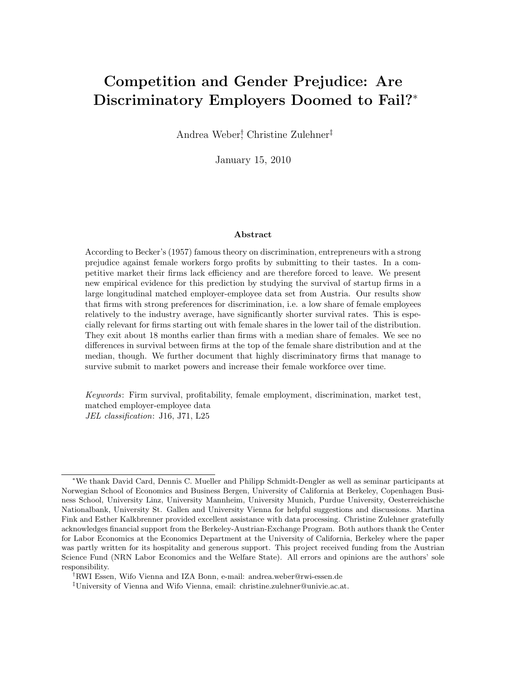# **Competition and Gender Prejudice: Are Discriminatory Employers Doomed to Fail?**<sup>∗</sup>

Andrea Weber*†* , Christine Zulehner*‡*

January 15, 2010

#### **Abstract**

According to Becker's (1957) famous theory on discrimination, entrepreneurs with a strong prejudice against female workers forgo profits by submitting to their tastes. In a competitive market their firms lack efficiency and are therefore forced to leave. We present new empirical evidence for this prediction by studying the survival of startup firms in a large longitudinal matched employer-employee data set from Austria. Our results show that firms with strong preferences for discrimination, i.e. a low share of female employees relatively to the industry average, have significantly shorter survival rates. This is especially relevant for firms starting out with female shares in the lower tail of the distribution. They exit about 18 months earlier than firms with a median share of females. We see no differences in survival between firms at the top of the female share distribution and at the median, though. We further document that highly discriminatory firms that manage to survive submit to market powers and increase their female workforce over time.

*Keywords*: Firm survival, profitability, female employment, discrimination, market test, matched employer-employee data *JEL classification*: J16, J71, L25

<sup>∗</sup>We thank David Card, Dennis C. Mueller and Philipp Schmidt-Dengler as well as seminar participants at Norwegian School of Economics and Business Bergen, University of California at Berkeley, Copenhagen Business School, University Linz, University Mannheim, University Munich, Purdue University, Oesterreichische Nationalbank, University St. Gallen and University Vienna for helpful suggestions and discussions. Martina Fink and Esther Kalkbrenner provided excellent assistance with data processing. Christine Zulehner gratefully acknowledges financial support from the Berkeley-Austrian-Exchange Program. Both authors thank the Center for Labor Economics at the Economics Department at the University of California, Berkeley where the paper was partly written for its hospitality and generous support. This project received funding from the Austrian Science Fund (NRN Labor Economics and the Welfare State). All errors and opinions are the authors' sole responsibility.

<sup>†</sup>RWI Essen, Wifo Vienna and IZA Bonn, e-mail: andrea.weber@rwi-essen.de

<sup>‡</sup>University of Vienna and Wifo Vienna, email: christine.zulehner@univie.ac.at.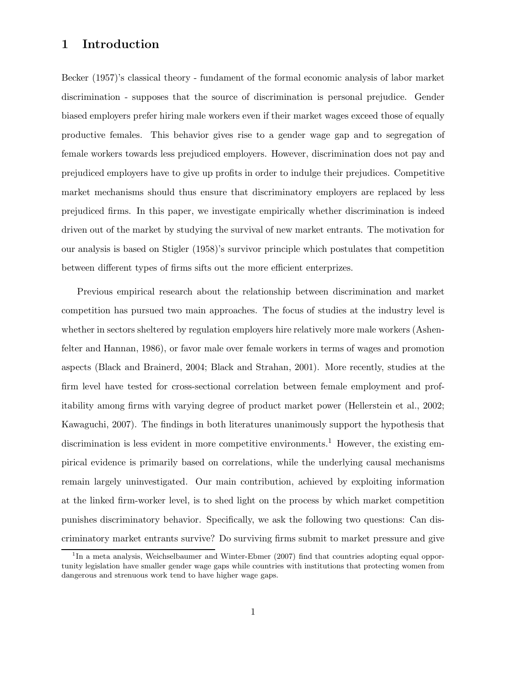### **1 Introduction**

Becker (1957)'s classical theory - fundament of the formal economic analysis of labor market discrimination - supposes that the source of discrimination is personal prejudice. Gender biased employers prefer hiring male workers even if their market wages exceed those of equally productive females. This behavior gives rise to a gender wage gap and to segregation of female workers towards less prejudiced employers. However, discrimination does not pay and prejudiced employers have to give up profits in order to indulge their prejudices. Competitive market mechanisms should thus ensure that discriminatory employers are replaced by less prejudiced firms. In this paper, we investigate empirically whether discrimination is indeed driven out of the market by studying the survival of new market entrants. The motivation for our analysis is based on Stigler (1958)'s survivor principle which postulates that competition between different types of firms sifts out the more efficient enterprizes.

Previous empirical research about the relationship between discrimination and market competition has pursued two main approaches. The focus of studies at the industry level is whether in sectors sheltered by regulation employers hire relatively more male workers (Ashenfelter and Hannan, 1986), or favor male over female workers in terms of wages and promotion aspects (Black and Brainerd, 2004; Black and Strahan, 2001). More recently, studies at the firm level have tested for cross-sectional correlation between female employment and profitability among firms with varying degree of product market power (Hellerstein et al., 2002; Kawaguchi, 2007). The findings in both literatures unanimously support the hypothesis that discrimination is less evident in more competitive environments.<sup>1</sup> However, the existing empirical evidence is primarily based on correlations, while the underlying causal mechanisms remain largely uninvestigated. Our main contribution, achieved by exploiting information at the linked firm-worker level, is to shed light on the process by which market competition punishes discriminatory behavior. Specifically, we ask the following two questions: Can discriminatory market entrants survive? Do surviving firms submit to market pressure and give

<sup>&</sup>lt;sup>1</sup>In a meta analysis, Weichselbaumer and Winter-Ebmer (2007) find that countries adopting equal opportunity legislation have smaller gender wage gaps while countries with institutions that protecting women from dangerous and strenuous work tend to have higher wage gaps.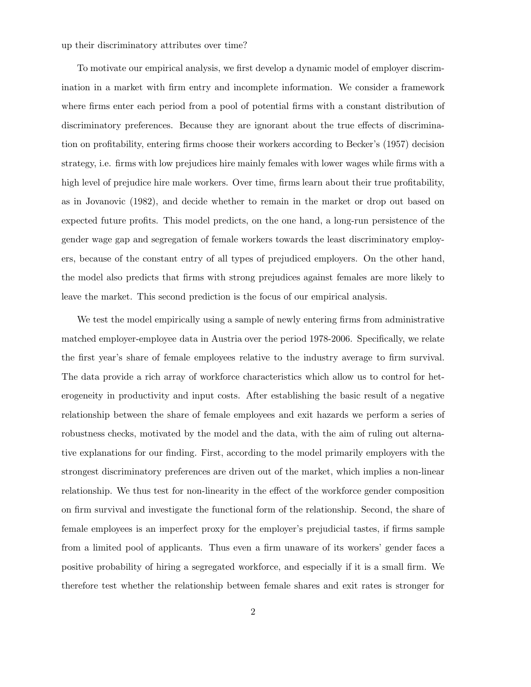up their discriminatory attributes over time?

To motivate our empirical analysis, we first develop a dynamic model of employer discrimination in a market with firm entry and incomplete information. We consider a framework where firms enter each period from a pool of potential firms with a constant distribution of discriminatory preferences. Because they are ignorant about the true effects of discrimination on profitability, entering firms choose their workers according to Becker's (1957) decision strategy, i.e. firms with low prejudices hire mainly females with lower wages while firms with a high level of prejudice hire male workers. Over time, firms learn about their true profitability, as in Jovanovic (1982), and decide whether to remain in the market or drop out based on expected future profits. This model predicts, on the one hand, a long-run persistence of the gender wage gap and segregation of female workers towards the least discriminatory employers, because of the constant entry of all types of prejudiced employers. On the other hand, the model also predicts that firms with strong prejudices against females are more likely to leave the market. This second prediction is the focus of our empirical analysis.

We test the model empirically using a sample of newly entering firms from administrative matched employer-employee data in Austria over the period 1978-2006. Specifically, we relate the first year's share of female employees relative to the industry average to firm survival. The data provide a rich array of workforce characteristics which allow us to control for heterogeneity in productivity and input costs. After establishing the basic result of a negative relationship between the share of female employees and exit hazards we perform a series of robustness checks, motivated by the model and the data, with the aim of ruling out alternative explanations for our finding. First, according to the model primarily employers with the strongest discriminatory preferences are driven out of the market, which implies a non-linear relationship. We thus test for non-linearity in the effect of the workforce gender composition on firm survival and investigate the functional form of the relationship. Second, the share of female employees is an imperfect proxy for the employer's prejudicial tastes, if firms sample from a limited pool of applicants. Thus even a firm unaware of its workers' gender faces a positive probability of hiring a segregated workforce, and especially if it is a small firm. We therefore test whether the relationship between female shares and exit rates is stronger for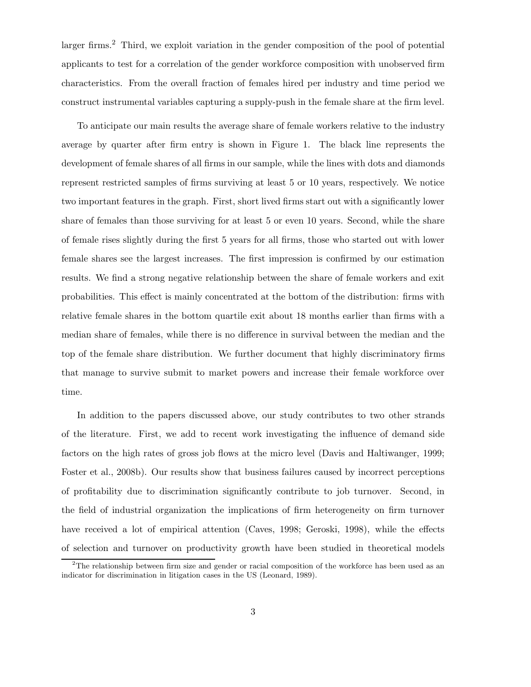larger firms.<sup>2</sup> Third, we exploit variation in the gender composition of the pool of potential applicants to test for a correlation of the gender workforce composition with unobserved firm characteristics. From the overall fraction of females hired per industry and time period we construct instrumental variables capturing a supply-push in the female share at the firm level.

To anticipate our main results the average share of female workers relative to the industry average by quarter after firm entry is shown in Figure 1. The black line represents the development of female shares of all firms in our sample, while the lines with dots and diamonds represent restricted samples of firms surviving at least 5 or 10 years, respectively. We notice two important features in the graph. First, short lived firms start out with a significantly lower share of females than those surviving for at least 5 or even 10 years. Second, while the share of female rises slightly during the first 5 years for all firms, those who started out with lower female shares see the largest increases. The first impression is confirmed by our estimation results. We find a strong negative relationship between the share of female workers and exit probabilities. This effect is mainly concentrated at the bottom of the distribution: firms with relative female shares in the bottom quartile exit about 18 months earlier than firms with a median share of females, while there is no difference in survival between the median and the top of the female share distribution. We further document that highly discriminatory firms that manage to survive submit to market powers and increase their female workforce over time.

In addition to the papers discussed above, our study contributes to two other strands of the literature. First, we add to recent work investigating the influence of demand side factors on the high rates of gross job flows at the micro level (Davis and Haltiwanger, 1999; Foster et al., 2008b). Our results show that business failures caused by incorrect perceptions of profitability due to discrimination significantly contribute to job turnover. Second, in the field of industrial organization the implications of firm heterogeneity on firm turnover have received a lot of empirical attention (Caves, 1998; Geroski, 1998), while the effects of selection and turnover on productivity growth have been studied in theoretical models

<sup>&</sup>lt;sup>2</sup>The relationship between firm size and gender or racial composition of the workforce has been used as an indicator for discrimination in litigation cases in the US (Leonard, 1989).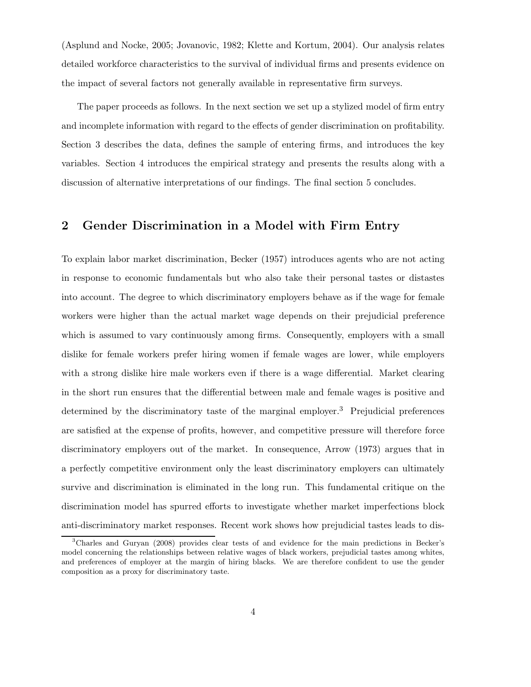(Asplund and Nocke, 2005; Jovanovic, 1982; Klette and Kortum, 2004). Our analysis relates detailed workforce characteristics to the survival of individual firms and presents evidence on the impact of several factors not generally available in representative firm surveys.

The paper proceeds as follows. In the next section we set up a stylized model of firm entry and incomplete information with regard to the effects of gender discrimination on profitability. Section 3 describes the data, defines the sample of entering firms, and introduces the key variables. Section 4 introduces the empirical strategy and presents the results along with a discussion of alternative interpretations of our findings. The final section 5 concludes.

## **2 Gender Discrimination in a Model with Firm Entry**

To explain labor market discrimination, Becker (1957) introduces agents who are not acting in response to economic fundamentals but who also take their personal tastes or distastes into account. The degree to which discriminatory employers behave as if the wage for female workers were higher than the actual market wage depends on their prejudicial preference which is assumed to vary continuously among firms. Consequently, employers with a small dislike for female workers prefer hiring women if female wages are lower, while employers with a strong dislike hire male workers even if there is a wage differential. Market clearing in the short run ensures that the differential between male and female wages is positive and determined by the discriminatory taste of the marginal employer.<sup>3</sup> Prejudicial preferences are satisfied at the expense of profits, however, and competitive pressure will therefore force discriminatory employers out of the market. In consequence, Arrow (1973) argues that in a perfectly competitive environment only the least discriminatory employers can ultimately survive and discrimination is eliminated in the long run. This fundamental critique on the discrimination model has spurred efforts to investigate whether market imperfections block anti-discriminatory market responses. Recent work shows how prejudicial tastes leads to dis-

<sup>3</sup>Charles and Guryan (2008) provides clear tests of and evidence for the main predictions in Becker's model concerning the relationships between relative wages of black workers, prejudicial tastes among whites, and preferences of employer at the margin of hiring blacks. We are therefore confident to use the gender composition as a proxy for discriminatory taste.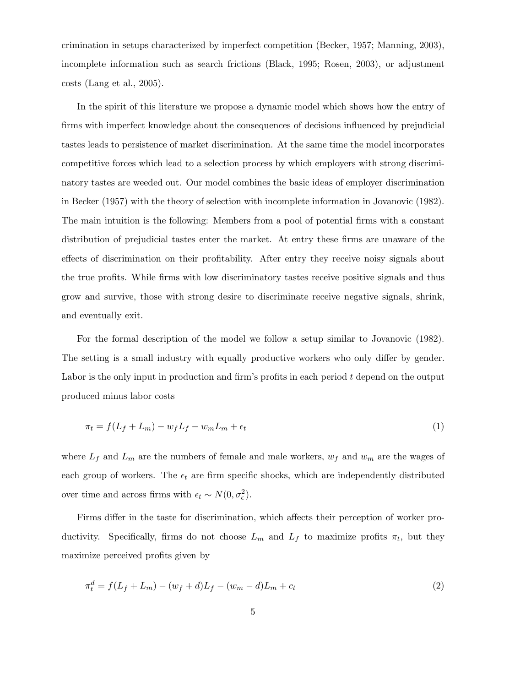crimination in setups characterized by imperfect competition (Becker, 1957; Manning, 2003), incomplete information such as search frictions (Black, 1995; Rosen, 2003), or adjustment costs (Lang et al., 2005).

In the spirit of this literature we propose a dynamic model which shows how the entry of firms with imperfect knowledge about the consequences of decisions influenced by prejudicial tastes leads to persistence of market discrimination. At the same time the model incorporates competitive forces which lead to a selection process by which employers with strong discriminatory tastes are weeded out. Our model combines the basic ideas of employer discrimination in Becker (1957) with the theory of selection with incomplete information in Jovanovic (1982). The main intuition is the following: Members from a pool of potential firms with a constant distribution of prejudicial tastes enter the market. At entry these firms are unaware of the effects of discrimination on their profitability. After entry they receive noisy signals about the true profits. While firms with low discriminatory tastes receive positive signals and thus grow and survive, those with strong desire to discriminate receive negative signals, shrink, and eventually exit.

For the formal description of the model we follow a setup similar to Jovanovic (1982). The setting is a small industry with equally productive workers who only differ by gender. Labor is the only input in production and firm's profits in each period  $t$  depend on the output produced minus labor costs

$$
\pi_t = f(L_f + L_m) - w_f L_f - w_m L_m + \epsilon_t \tag{1}
$$

where  $L_f$  and  $L_m$  are the numbers of female and male workers,  $w_f$  and  $w_m$  are the wages of each group of workers. The  $\epsilon_t$  are firm specific shocks, which are independently distributed over time and across firms with  $\epsilon_t \sim N(0, \sigma_{\epsilon}^2)$ .

Firms differ in the taste for discrimination, which affects their perception of worker productivity. Specifically, firms do not choose  $L_m$  and  $L_f$  to maximize profits  $\pi_t$ , but they maximize perceived profits given by

$$
\pi_t^d = f(L_f + L_m) - (w_f + d)L_f - (w_m - d)L_m + c_t \tag{2}
$$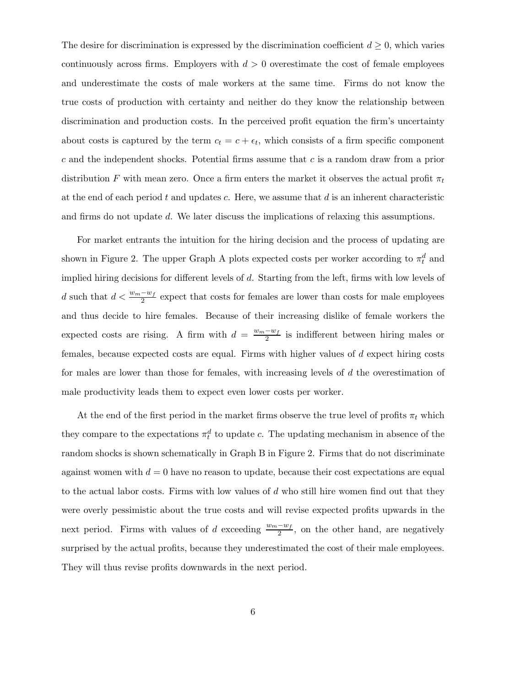The desire for discrimination is expressed by the discrimination coefficient  $d \geq 0$ , which varies continuously across firms. Employers with  $d > 0$  overestimate the cost of female employees and underestimate the costs of male workers at the same time. Firms do not know the true costs of production with certainty and neither do they know the relationship between discrimination and production costs. In the perceived profit equation the firm's uncertainty about costs is captured by the term  $c_t = c + \epsilon_t$ , which consists of a firm specific component  $c$  and the independent shocks. Potential firms assume that  $c$  is a random draw from a prior distribution F with mean zero. Once a firm enters the market it observes the actual profit  $\pi_t$ at the end of each period t and updates c. Here, we assume that  $d$  is an inherent characteristic and firms do not update d. We later discuss the implications of relaxing this assumptions.

For market entrants the intuition for the hiring decision and the process of updating are shown in Figure 2. The upper Graph A plots expected costs per worker according to  $\pi_t^d$  and implied hiring decisions for different levels of d. Starting from the left, firms with low levels of d such that  $d < \frac{w_m - w_f}{2}$  expect that costs for females are lower than costs for male employees and thus decide to hire females. Because of their increasing dislike of female workers the expected costs are rising. A firm with  $d = \frac{w_m - w_f}{2}$  is indifferent between hiring males or females, because expected costs are equal. Firms with higher values of d expect hiring costs for males are lower than those for females, with increasing levels of  $d$  the overestimation of male productivity leads them to expect even lower costs per worker.

At the end of the first period in the market firms observe the true level of profits  $\pi_t$  which they compare to the expectations  $\pi_t^d$  to update c. The updating mechanism in absence of the random shocks is shown schematically in Graph B in Figure 2. Firms that do not discriminate against women with  $d = 0$  have no reason to update, because their cost expectations are equal to the actual labor costs. Firms with low values of  $d$  who still hire women find out that they were overly pessimistic about the true costs and will revise expected profits upwards in the next period. Firms with values of d exceeding  $\frac{w_m - w_f}{2}$ , on the other hand, are negatively surprised by the actual profits, because they underestimated the cost of their male employees. They will thus revise profits downwards in the next period.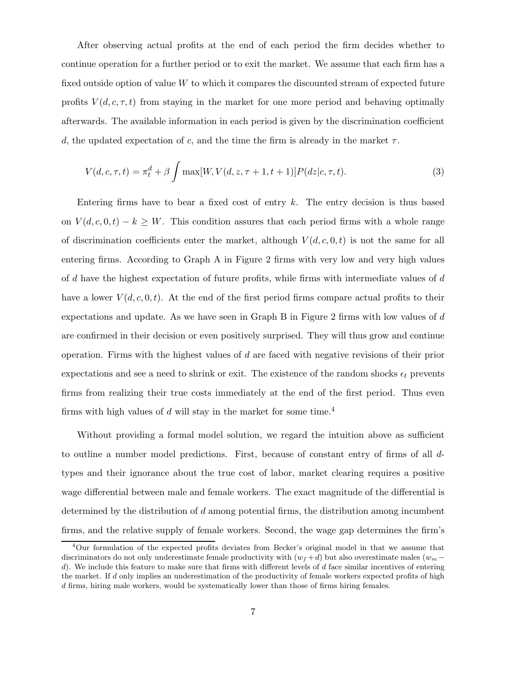After observing actual profits at the end of each period the firm decides whether to continue operation for a further period or to exit the market. We assume that each firm has a fixed outside option of value  $W$  to which it compares the discounted stream of expected future profits  $V(d, c, \tau, t)$  from staying in the market for one more period and behaving optimally afterwards. The available information in each period is given by the discrimination coefficient d, the updated expectation of c, and the time the firm is already in the market  $\tau$ .

$$
V(d, c, \tau, t) = \pi_t^d + \beta \int \max[W, V(d, z, \tau + 1, t + 1)] P(dz|c, \tau, t).
$$
 (3)

Entering firms have to bear a fixed cost of entry  $k$ . The entry decision is thus based on  $V(d, c, 0, t) - k \geq W$ . This condition assures that each period firms with a whole range of discrimination coefficients enter the market, although  $V(d, c, 0, t)$  is not the same for all entering firms. According to Graph A in Figure 2 firms with very low and very high values of d have the highest expectation of future profits, while firms with intermediate values of  $d$ have a lower  $V(d, c, 0, t)$ . At the end of the first period firms compare actual profits to their expectations and update. As we have seen in Graph B in Figure 2 firms with low values of  $d$ are confirmed in their decision or even positively surprised. They will thus grow and continue operation. Firms with the highest values of d are faced with negative revisions of their prior expectations and see a need to shrink or exit. The existence of the random shocks  $\epsilon_t$  prevents firms from realizing their true costs immediately at the end of the first period. Thus even firms with high values of d will stay in the market for some time.<sup>4</sup>

Without providing a formal model solution, we regard the intuition above as sufficient to outline a number model predictions. First, because of constant entry of firms of all dtypes and their ignorance about the true cost of labor, market clearing requires a positive wage differential between male and female workers. The exact magnitude of the differential is determined by the distribution of d among potential firms, the distribution among incumbent firms, and the relative supply of female workers. Second, the wage gap determines the firm's

<sup>4</sup>Our formulation of the expected profits deviates from Becker's original model in that we assume that discriminators do not only underestimate female productivity with  $(w_f + d)$  but also overestimate males  $(w_m - d)$ *d*). We include this feature to make sure that firms with different levels of *d* face similar incentives of entering the market. If *d* only implies an underestimation of the productivity of female workers expected profits of high *d* firms, hiring male workers, would be systematically lower than those of firms hiring females.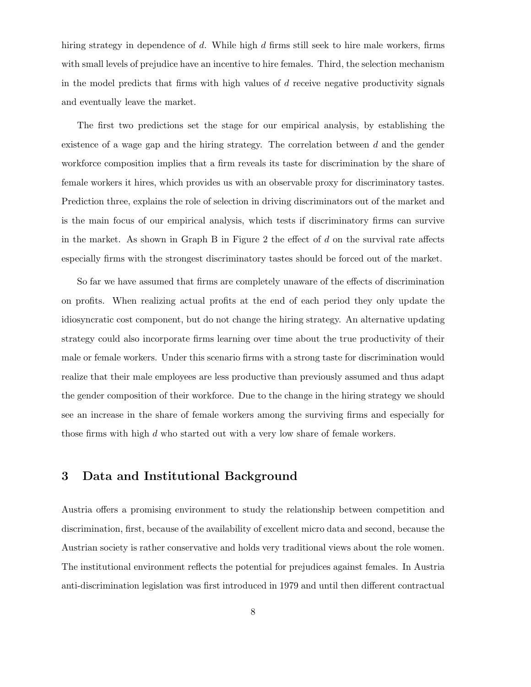hiring strategy in dependence of d. While high d firms still seek to hire male workers, firms with small levels of prejudice have an incentive to hire females. Third, the selection mechanism in the model predicts that firms with high values of  $d$  receive negative productivity signals and eventually leave the market.

The first two predictions set the stage for our empirical analysis, by establishing the existence of a wage gap and the hiring strategy. The correlation between  $d$  and the gender workforce composition implies that a firm reveals its taste for discrimination by the share of female workers it hires, which provides us with an observable proxy for discriminatory tastes. Prediction three, explains the role of selection in driving discriminators out of the market and is the main focus of our empirical analysis, which tests if discriminatory firms can survive in the market. As shown in Graph B in Figure 2 the effect of d on the survival rate affects especially firms with the strongest discriminatory tastes should be forced out of the market.

So far we have assumed that firms are completely unaware of the effects of discrimination on profits. When realizing actual profits at the end of each period they only update the idiosyncratic cost component, but do not change the hiring strategy. An alternative updating strategy could also incorporate firms learning over time about the true productivity of their male or female workers. Under this scenario firms with a strong taste for discrimination would realize that their male employees are less productive than previously assumed and thus adapt the gender composition of their workforce. Due to the change in the hiring strategy we should see an increase in the share of female workers among the surviving firms and especially for those firms with high d who started out with a very low share of female workers.

### **3 Data and Institutional Background**

Austria offers a promising environment to study the relationship between competition and discrimination, first, because of the availability of excellent micro data and second, because the Austrian society is rather conservative and holds very traditional views about the role women. The institutional environment reflects the potential for prejudices against females. In Austria anti-discrimination legislation was first introduced in 1979 and until then different contractual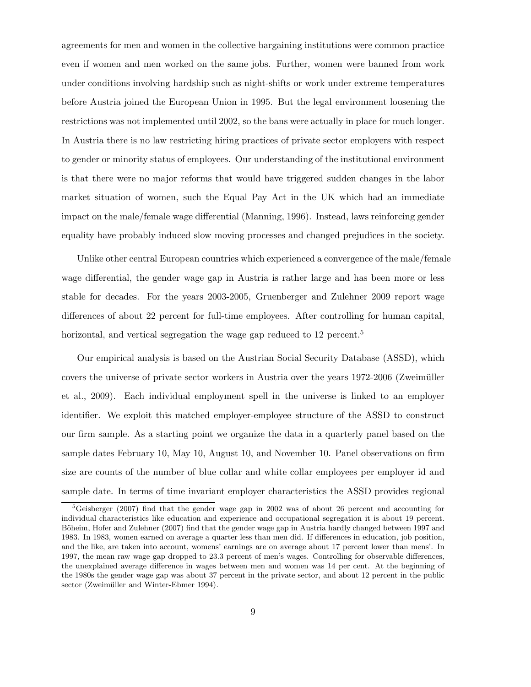agreements for men and women in the collective bargaining institutions were common practice even if women and men worked on the same jobs. Further, women were banned from work under conditions involving hardship such as night-shifts or work under extreme temperatures before Austria joined the European Union in 1995. But the legal environment loosening the restrictions was not implemented until 2002, so the bans were actually in place for much longer. In Austria there is no law restricting hiring practices of private sector employers with respect to gender or minority status of employees. Our understanding of the institutional environment is that there were no major reforms that would have triggered sudden changes in the labor market situation of women, such the Equal Pay Act in the UK which had an immediate impact on the male/female wage differential (Manning, 1996). Instead, laws reinforcing gender equality have probably induced slow moving processes and changed prejudices in the society.

Unlike other central European countries which experienced a convergence of the male/female wage differential, the gender wage gap in Austria is rather large and has been more or less stable for decades. For the years 2003-2005, Gruenberger and Zulehner 2009 report wage differences of about 22 percent for full-time employees. After controlling for human capital, horizontal, and vertical segregation the wage gap reduced to 12 percent.<sup>5</sup>

Our empirical analysis is based on the Austrian Social Security Database (ASSD), which covers the universe of private sector workers in Austria over the years 1972-2006 (Zweimüller et al., 2009). Each individual employment spell in the universe is linked to an employer identifier. We exploit this matched employer-employee structure of the ASSD to construct our firm sample. As a starting point we organize the data in a quarterly panel based on the sample dates February 10, May 10, August 10, and November 10. Panel observations on firm size are counts of the number of blue collar and white collar employees per employer id and sample date. In terms of time invariant employer characteristics the ASSD provides regional

<sup>&</sup>lt;sup>5</sup>Geisberger (2007) find that the gender wage gap in 2002 was of about 26 percent and accounting for individual characteristics like education and experience and occupational segregation it is about 19 percent. Böheim, Hofer and Zulehner (2007) find that the gender wage gap in Austria hardly changed between 1997 and 1983. In 1983, women earned on average a quarter less than men did. If differences in education, job position, and the like, are taken into account, womens' earnings are on average about 17 percent lower than mens'. In 1997, the mean raw wage gap dropped to 23.3 percent of men's wages. Controlling for observable differences, the unexplained average difference in wages between men and women was 14 per cent. At the beginning of the 1980s the gender wage gap was about 37 percent in the private sector, and about 12 percent in the public sector (Zweimüller and Winter-Ebmer 1994).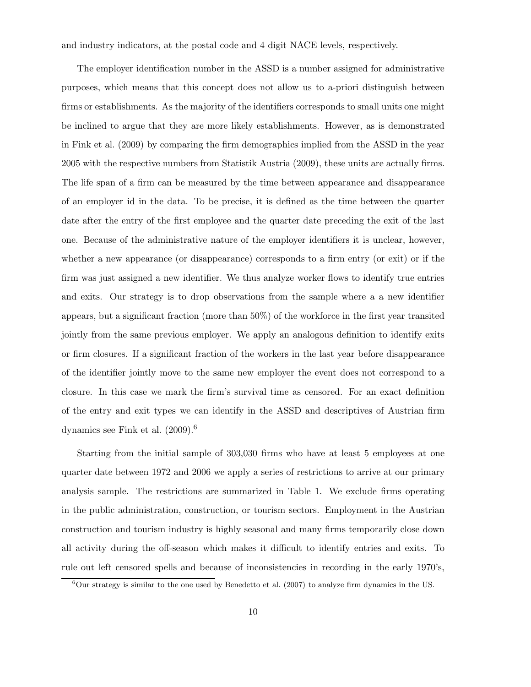and industry indicators, at the postal code and 4 digit NACE levels, respectively.

The employer identification number in the ASSD is a number assigned for administrative purposes, which means that this concept does not allow us to a-priori distinguish between firms or establishments. As the majority of the identifiers corresponds to small units one might be inclined to argue that they are more likely establishments. However, as is demonstrated in Fink et al. (2009) by comparing the firm demographics implied from the ASSD in the year 2005 with the respective numbers from Statistik Austria (2009), these units are actually firms. The life span of a firm can be measured by the time between appearance and disappearance of an employer id in the data. To be precise, it is defined as the time between the quarter date after the entry of the first employee and the quarter date preceding the exit of the last one. Because of the administrative nature of the employer identifiers it is unclear, however, whether a new appearance (or disappearance) corresponds to a firm entry (or exit) or if the firm was just assigned a new identifier. We thus analyze worker flows to identify true entries and exits. Our strategy is to drop observations from the sample where a a new identifier appears, but a significant fraction (more than 50%) of the workforce in the first year transited jointly from the same previous employer. We apply an analogous definition to identify exits or firm closures. If a significant fraction of the workers in the last year before disappearance of the identifier jointly move to the same new employer the event does not correspond to a closure. In this case we mark the firm's survival time as censored. For an exact definition of the entry and exit types we can identify in the ASSD and descriptives of Austrian firm dynamics see Fink et al.  $(2009)^6$ 

Starting from the initial sample of 303,030 firms who have at least 5 employees at one quarter date between 1972 and 2006 we apply a series of restrictions to arrive at our primary analysis sample. The restrictions are summarized in Table 1. We exclude firms operating in the public administration, construction, or tourism sectors. Employment in the Austrian construction and tourism industry is highly seasonal and many firms temporarily close down all activity during the off-season which makes it difficult to identify entries and exits. To rule out left censored spells and because of inconsistencies in recording in the early 1970's,

 $6$ Our strategy is similar to the one used by Benedetto et al. (2007) to analyze firm dynamics in the US.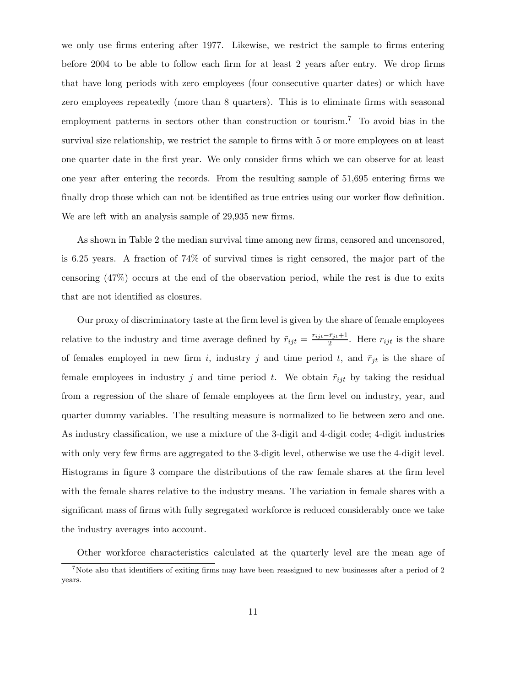we only use firms entering after 1977. Likewise, we restrict the sample to firms entering before 2004 to be able to follow each firm for at least 2 years after entry. We drop firms that have long periods with zero employees (four consecutive quarter dates) or which have zero employees repeatedly (more than 8 quarters). This is to eliminate firms with seasonal employment patterns in sectors other than construction or tourism.<sup>7</sup> To avoid bias in the survival size relationship, we restrict the sample to firms with 5 or more employees on at least one quarter date in the first year. We only consider firms which we can observe for at least one year after entering the records. From the resulting sample of 51,695 entering firms we finally drop those which can not be identified as true entries using our worker flow definition. We are left with an analysis sample of 29,935 new firms.

As shown in Table 2 the median survival time among new firms, censored and uncensored, is 6.25 years. A fraction of 74% of survival times is right censored, the major part of the censoring (47%) occurs at the end of the observation period, while the rest is due to exits that are not identified as closures.

Our proxy of discriminatory taste at the firm level is given by the share of female employees relative to the industry and time average defined by  $\tilde{r}_{ijt} = \frac{r_{ijt} - \bar{r}_{jt} + 1}{2}$ . Here  $r_{ijt}$  is the share of females employed in new firm i, industry j and time period t, and  $\bar{r}_{jt}$  is the share of female employees in industry j and time period t. We obtain  $\tilde{r}_{ijt}$  by taking the residual from a regression of the share of female employees at the firm level on industry, year, and quarter dummy variables. The resulting measure is normalized to lie between zero and one. As industry classification, we use a mixture of the 3-digit and 4-digit code; 4-digit industries with only very few firms are aggregated to the 3-digit level, otherwise we use the 4-digit level. Histograms in figure 3 compare the distributions of the raw female shares at the firm level with the female shares relative to the industry means. The variation in female shares with a significant mass of firms with fully segregated workforce is reduced considerably once we take the industry averages into account.

Other workforce characteristics calculated at the quarterly level are the mean age of <sup>7</sup>Note also that identifiers of exiting firms may have been reassigned to new businesses after a period of 2

years.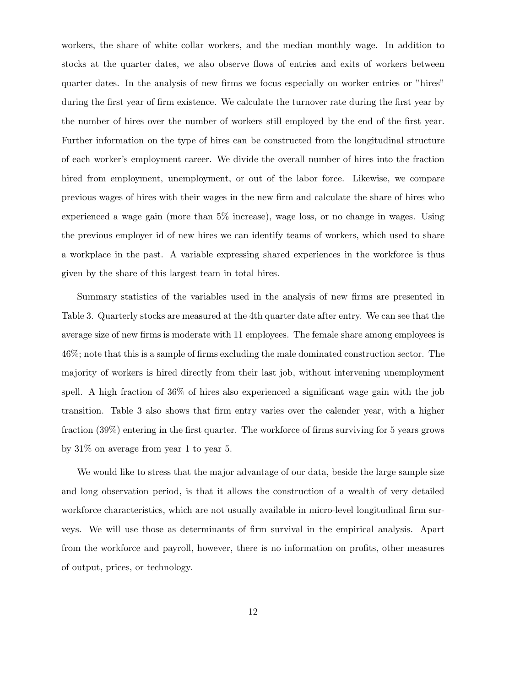workers, the share of white collar workers, and the median monthly wage. In addition to stocks at the quarter dates, we also observe flows of entries and exits of workers between quarter dates. In the analysis of new firms we focus especially on worker entries or "hires" during the first year of firm existence. We calculate the turnover rate during the first year by the number of hires over the number of workers still employed by the end of the first year. Further information on the type of hires can be constructed from the longitudinal structure of each worker's employment career. We divide the overall number of hires into the fraction hired from employment, unemployment, or out of the labor force. Likewise, we compare previous wages of hires with their wages in the new firm and calculate the share of hires who experienced a wage gain (more than 5% increase), wage loss, or no change in wages. Using the previous employer id of new hires we can identify teams of workers, which used to share a workplace in the past. A variable expressing shared experiences in the workforce is thus given by the share of this largest team in total hires.

Summary statistics of the variables used in the analysis of new firms are presented in Table 3. Quarterly stocks are measured at the 4th quarter date after entry. We can see that the average size of new firms is moderate with 11 employees. The female share among employees is 46%; note that this is a sample of firms excluding the male dominated construction sector. The majority of workers is hired directly from their last job, without intervening unemployment spell. A high fraction of 36% of hires also experienced a significant wage gain with the job transition. Table 3 also shows that firm entry varies over the calender year, with a higher fraction (39%) entering in the first quarter. The workforce of firms surviving for 5 years grows by 31% on average from year 1 to year 5.

We would like to stress that the major advantage of our data, beside the large sample size and long observation period, is that it allows the construction of a wealth of very detailed workforce characteristics, which are not usually available in micro-level longitudinal firm surveys. We will use those as determinants of firm survival in the empirical analysis. Apart from the workforce and payroll, however, there is no information on profits, other measures of output, prices, or technology.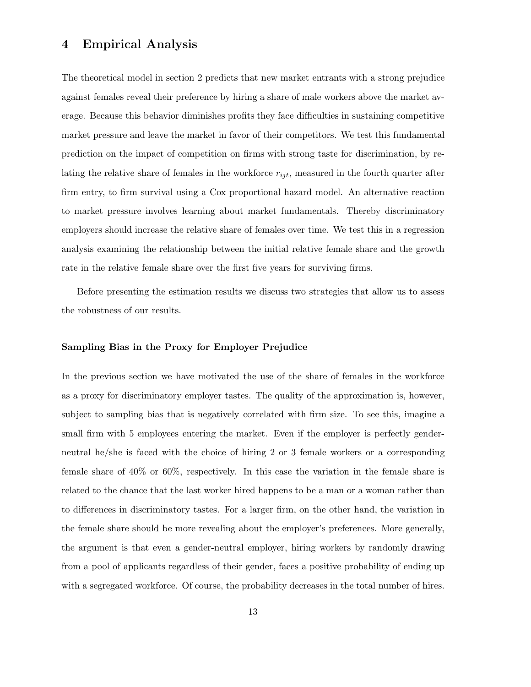### **4 Empirical Analysis**

The theoretical model in section 2 predicts that new market entrants with a strong prejudice against females reveal their preference by hiring a share of male workers above the market average. Because this behavior diminishes profits they face difficulties in sustaining competitive market pressure and leave the market in favor of their competitors. We test this fundamental prediction on the impact of competition on firms with strong taste for discrimination, by relating the relative share of females in the workforce  $r_{ijt}$ , measured in the fourth quarter after firm entry, to firm survival using a Cox proportional hazard model. An alternative reaction to market pressure involves learning about market fundamentals. Thereby discriminatory employers should increase the relative share of females over time. We test this in a regression analysis examining the relationship between the initial relative female share and the growth rate in the relative female share over the first five years for surviving firms.

Before presenting the estimation results we discuss two strategies that allow us to assess the robustness of our results.

#### **Sampling Bias in the Proxy for Employer Prejudice**

In the previous section we have motivated the use of the share of females in the workforce as a proxy for discriminatory employer tastes. The quality of the approximation is, however, subject to sampling bias that is negatively correlated with firm size. To see this, imagine a small firm with 5 employees entering the market. Even if the employer is perfectly genderneutral he/she is faced with the choice of hiring 2 or 3 female workers or a corresponding female share of 40% or 60%, respectively. In this case the variation in the female share is related to the chance that the last worker hired happens to be a man or a woman rather than to differences in discriminatory tastes. For a larger firm, on the other hand, the variation in the female share should be more revealing about the employer's preferences. More generally, the argument is that even a gender-neutral employer, hiring workers by randomly drawing from a pool of applicants regardless of their gender, faces a positive probability of ending up with a segregated workforce. Of course, the probability decreases in the total number of hires.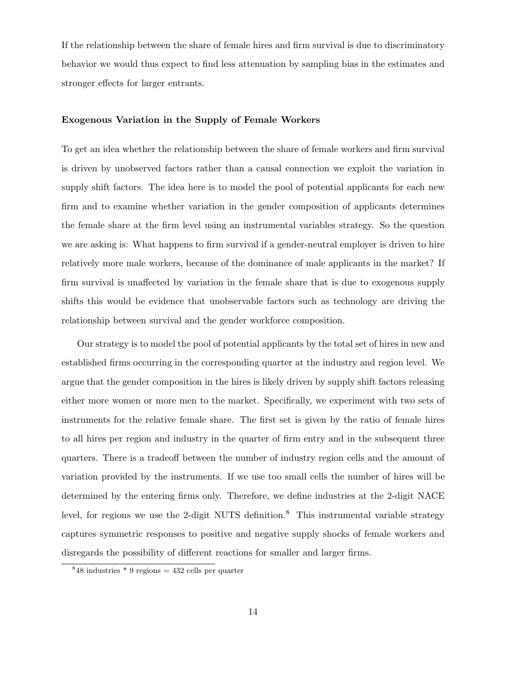If the relationship between the share of female hires and firm survival is due to discriminatory behavior we would thus expect to find less attenuation by sampling bias in the estimates and stronger effects for larger entrants.

#### **Exogenous Variation in the Supply of Female Workers**

To get an idea whether the relationship between the share of female workers and firm survival is driven by unobserved factors rather than a causal connection we exploit the variation in supply shift factors. The idea here is to model the pool of potential applicants for each new firm and to examine whether variation in the gender composition of applicants determines the female share at the firm level using an instrumental variables strategy. So the question we are asking is: What happens to firm survival if a gender-neutral employer is driven to hire relatively more male workers, because of the dominance of male applicants in the market? If firm survival is unaffected by variation in the female share that is due to exogenous supply shifts this would be evidence that unobservable factors such as technology are driving the relationship between survival and the gender workforce composition.

Our strategy is to model the pool of potential applicants by the total set of hires in new and established firms occurring in the corresponding quarter at the industry and region level. We argue that the gender composition in the hires is likely driven by supply shift factors releasing either more women or more men to the market. Specifically, we experiment with two sets of instruments for the relative female share. The first set is given by the ratio of female hires to all hires per region and industry in the quarter of firm entry and in the subsequent three quarters. There is a tradeoff between the number of industry region cells and the amount of variation provided by the instruments. If we use too small cells the number of hires will be determined by the entering firms only. Therefore, we define industries at the 2-digit NACE level, for regions we use the 2-digit NUTS definition.<sup>8</sup> This instrumental variable strategy captures symmetric responses to positive and negative supply shocks of female workers and disregards the possibility of different reactions for smaller and larger firms.

 $848$  industries  $*$  9 regions = 432 cells per quarter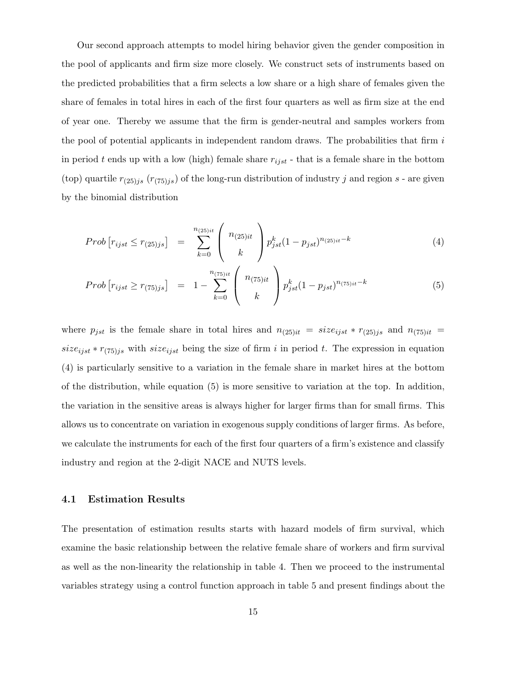Our second approach attempts to model hiring behavior given the gender composition in the pool of applicants and firm size more closely. We construct sets of instruments based on the predicted probabilities that a firm selects a low share or a high share of females given the share of females in total hires in each of the first four quarters as well as firm size at the end of year one. Thereby we assume that the firm is gender-neutral and samples workers from the pool of potential applicants in independent random draws. The probabilities that firm  $i$ in period t ends up with a low (high) female share  $r_{ijst}$  - that is a female share in the bottom (top) quartile  $r_{(25)j\overline{s}}$  ( $r_{(75)j\overline{s}}$ ) of the long-run distribution of industry j and region s - are given by the binomial distribution

$$
Prob\left[r_{ijst} \le r_{(25)js}\right] = \sum_{k=0}^{n_{(25)it}} \binom{n_{(25)it}}{k} p_{jst}^k (1-p_{jst})^{n_{(25)it}-k} \tag{4}
$$

$$
Prob\left[r_{ijst} \ge r_{(75)js}\right] = 1 - \sum_{k=0}^{n_{(75)it}} \binom{n_{(75)it}}{k} p_{jst}^k (1 - p_{jst})^{n_{(75)it} - k} \tag{5}
$$

where  $p_{jst}$  is the female share in total hires and  $n_{(25)it} = size_{ijst} * r_{(25)js}$  and  $n_{(75)it}$  =  $size_{ijst} * r_{(75)js}$  with  $size_{ijst}$  being the size of firm i in period t. The expression in equation (4) is particularly sensitive to a variation in the female share in market hires at the bottom of the distribution, while equation (5) is more sensitive to variation at the top. In addition, the variation in the sensitive areas is always higher for larger firms than for small firms. This allows us to concentrate on variation in exogenous supply conditions of larger firms. As before, we calculate the instruments for each of the first four quarters of a firm's existence and classify industry and region at the 2-digit NACE and NUTS levels.

#### **4.1 Estimation Results**

The presentation of estimation results starts with hazard models of firm survival, which examine the basic relationship between the relative female share of workers and firm survival as well as the non-linearity the relationship in table 4. Then we proceed to the instrumental variables strategy using a control function approach in table 5 and present findings about the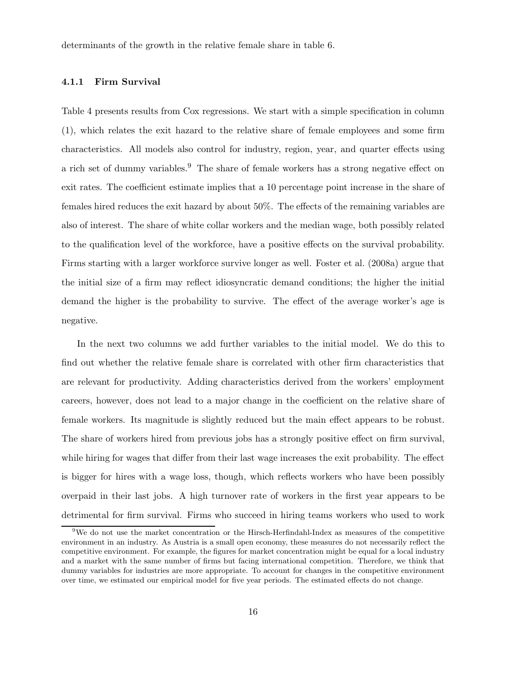determinants of the growth in the relative female share in table 6.

#### **4.1.1 Firm Survival**

Table 4 presents results from Cox regressions. We start with a simple specification in column (1), which relates the exit hazard to the relative share of female employees and some firm characteristics. All models also control for industry, region, year, and quarter effects using a rich set of dummy variables.<sup>9</sup> The share of female workers has a strong negative effect on exit rates. The coefficient estimate implies that a 10 percentage point increase in the share of females hired reduces the exit hazard by about 50%. The effects of the remaining variables are also of interest. The share of white collar workers and the median wage, both possibly related to the qualification level of the workforce, have a positive effects on the survival probability. Firms starting with a larger workforce survive longer as well. Foster et al. (2008a) argue that the initial size of a firm may reflect idiosyncratic demand conditions; the higher the initial demand the higher is the probability to survive. The effect of the average worker's age is negative.

In the next two columns we add further variables to the initial model. We do this to find out whether the relative female share is correlated with other firm characteristics that are relevant for productivity. Adding characteristics derived from the workers' employment careers, however, does not lead to a major change in the coefficient on the relative share of female workers. Its magnitude is slightly reduced but the main effect appears to be robust. The share of workers hired from previous jobs has a strongly positive effect on firm survival, while hiring for wages that differ from their last wage increases the exit probability. The effect is bigger for hires with a wage loss, though, which reflects workers who have been possibly overpaid in their last jobs. A high turnover rate of workers in the first year appears to be detrimental for firm survival. Firms who succeed in hiring teams workers who used to work

<sup>9</sup>We do not use the market concentration or the Hirsch-Herfindahl-Index as measures of the competitive environment in an industry. As Austria is a small open economy, these measures do not necessarily reflect the competitive environment. For example, the figures for market concentration might be equal for a local industry and a market with the same number of firms but facing international competition. Therefore, we think that dummy variables for industries are more appropriate. To account for changes in the competitive environment over time, we estimated our empirical model for five year periods. The estimated effects do not change.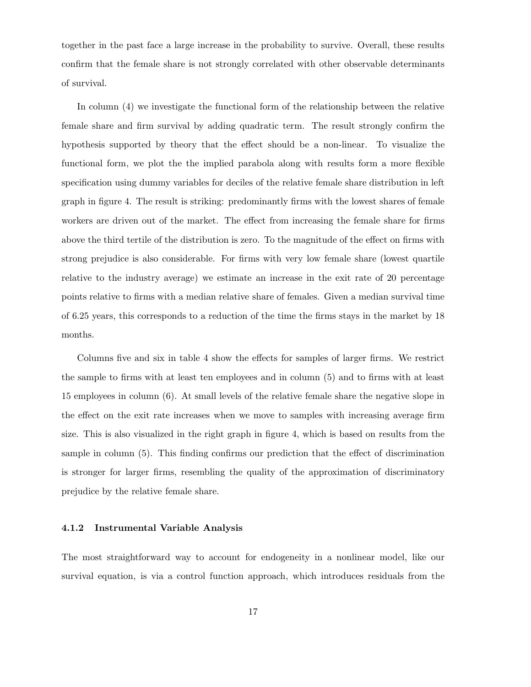together in the past face a large increase in the probability to survive. Overall, these results confirm that the female share is not strongly correlated with other observable determinants of survival.

In column (4) we investigate the functional form of the relationship between the relative female share and firm survival by adding quadratic term. The result strongly confirm the hypothesis supported by theory that the effect should be a non-linear. To visualize the functional form, we plot the the implied parabola along with results form a more flexible specification using dummy variables for deciles of the relative female share distribution in left graph in figure 4. The result is striking: predominantly firms with the lowest shares of female workers are driven out of the market. The effect from increasing the female share for firms above the third tertile of the distribution is zero. To the magnitude of the effect on firms with strong prejudice is also considerable. For firms with very low female share (lowest quartile relative to the industry average) we estimate an increase in the exit rate of 20 percentage points relative to firms with a median relative share of females. Given a median survival time of 6.25 years, this corresponds to a reduction of the time the firms stays in the market by 18 months.

Columns five and six in table 4 show the effects for samples of larger firms. We restrict the sample to firms with at least ten employees and in column (5) and to firms with at least 15 employees in column (6). At small levels of the relative female share the negative slope in the effect on the exit rate increases when we move to samples with increasing average firm size. This is also visualized in the right graph in figure 4, which is based on results from the sample in column (5). This finding confirms our prediction that the effect of discrimination is stronger for larger firms, resembling the quality of the approximation of discriminatory prejudice by the relative female share.

#### **4.1.2 Instrumental Variable Analysis**

The most straightforward way to account for endogeneity in a nonlinear model, like our survival equation, is via a control function approach, which introduces residuals from the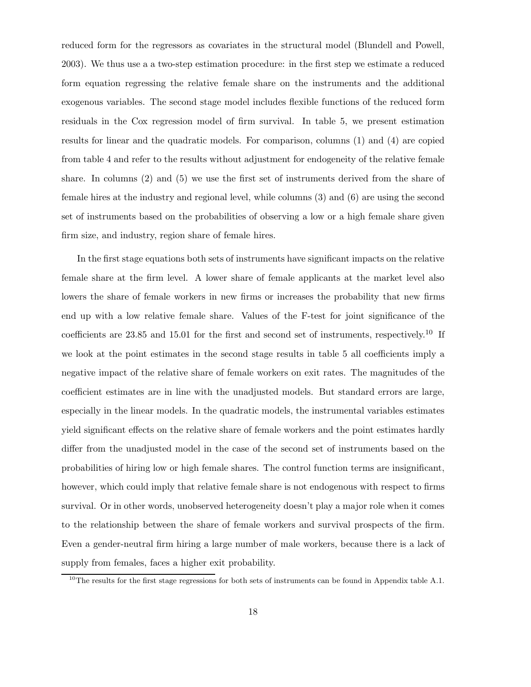reduced form for the regressors as covariates in the structural model (Blundell and Powell, 2003). We thus use a a two-step estimation procedure: in the first step we estimate a reduced form equation regressing the relative female share on the instruments and the additional exogenous variables. The second stage model includes flexible functions of the reduced form residuals in the Cox regression model of firm survival. In table 5, we present estimation results for linear and the quadratic models. For comparison, columns (1) and (4) are copied from table 4 and refer to the results without adjustment for endogeneity of the relative female share. In columns (2) and (5) we use the first set of instruments derived from the share of female hires at the industry and regional level, while columns (3) and (6) are using the second set of instruments based on the probabilities of observing a low or a high female share given firm size, and industry, region share of female hires.

In the first stage equations both sets of instruments have significant impacts on the relative female share at the firm level. A lower share of female applicants at the market level also lowers the share of female workers in new firms or increases the probability that new firms end up with a low relative female share. Values of the F-test for joint significance of the coefficients are  $23.85$  and  $15.01$  for the first and second set of instruments, respectively.<sup>10</sup> If we look at the point estimates in the second stage results in table 5 all coefficients imply a negative impact of the relative share of female workers on exit rates. The magnitudes of the coefficient estimates are in line with the unadjusted models. But standard errors are large, especially in the linear models. In the quadratic models, the instrumental variables estimates yield significant effects on the relative share of female workers and the point estimates hardly differ from the unadjusted model in the case of the second set of instruments based on the probabilities of hiring low or high female shares. The control function terms are insignificant, however, which could imply that relative female share is not endogenous with respect to firms survival. Or in other words, unobserved heterogeneity doesn't play a major role when it comes to the relationship between the share of female workers and survival prospects of the firm. Even a gender-neutral firm hiring a large number of male workers, because there is a lack of supply from females, faces a higher exit probability.

<sup>&</sup>lt;sup>10</sup>The results for the first stage regressions for both sets of instruments can be found in Appendix table A.1.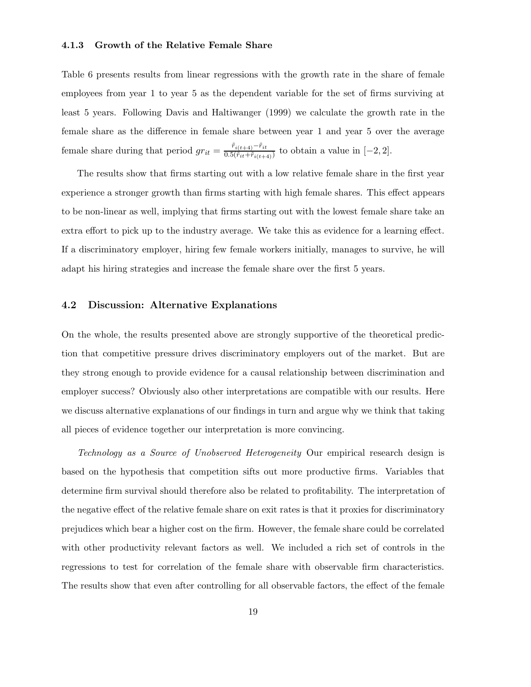#### **4.1.3 Growth of the Relative Female Share**

Table 6 presents results from linear regressions with the growth rate in the share of female employees from year 1 to year 5 as the dependent variable for the set of firms surviving at least 5 years. Following Davis and Haltiwanger (1999) we calculate the growth rate in the female share as the difference in female share between year 1 and year 5 over the average female share during that period  $gr_{it} = \frac{\tilde{r}_{i(t+4)} - \tilde{r}_{it}}{0.5(\tilde{r}_{it} + \tilde{r}_{i(t+4)})}$  to obtain a value in [−2, 2].

The results show that firms starting out with a low relative female share in the first year experience a stronger growth than firms starting with high female shares. This effect appears to be non-linear as well, implying that firms starting out with the lowest female share take an extra effort to pick up to the industry average. We take this as evidence for a learning effect. If a discriminatory employer, hiring few female workers initially, manages to survive, he will adapt his hiring strategies and increase the female share over the first 5 years.

#### **4.2 Discussion: Alternative Explanations**

On the whole, the results presented above are strongly supportive of the theoretical prediction that competitive pressure drives discriminatory employers out of the market. But are they strong enough to provide evidence for a causal relationship between discrimination and employer success? Obviously also other interpretations are compatible with our results. Here we discuss alternative explanations of our findings in turn and argue why we think that taking all pieces of evidence together our interpretation is more convincing.

*Technology as a Source of Unobserved Heterogeneity* Our empirical research design is based on the hypothesis that competition sifts out more productive firms. Variables that determine firm survival should therefore also be related to profitability. The interpretation of the negative effect of the relative female share on exit rates is that it proxies for discriminatory prejudices which bear a higher cost on the firm. However, the female share could be correlated with other productivity relevant factors as well. We included a rich set of controls in the regressions to test for correlation of the female share with observable firm characteristics. The results show that even after controlling for all observable factors, the effect of the female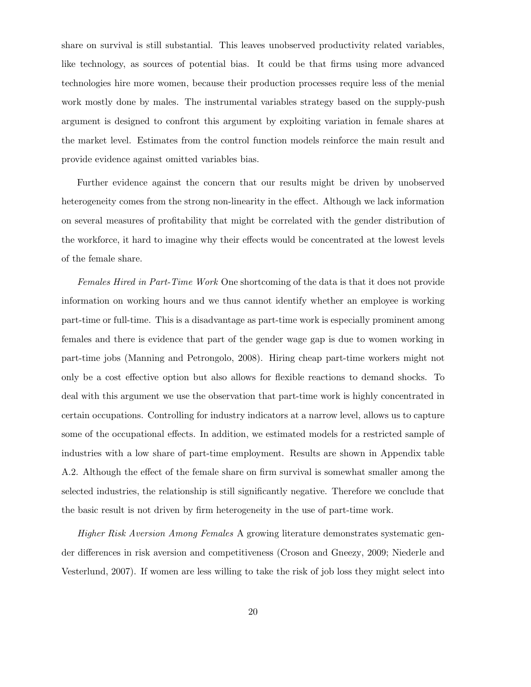share on survival is still substantial. This leaves unobserved productivity related variables, like technology, as sources of potential bias. It could be that firms using more advanced technologies hire more women, because their production processes require less of the menial work mostly done by males. The instrumental variables strategy based on the supply-push argument is designed to confront this argument by exploiting variation in female shares at the market level. Estimates from the control function models reinforce the main result and provide evidence against omitted variables bias.

Further evidence against the concern that our results might be driven by unobserved heterogeneity comes from the strong non-linearity in the effect. Although we lack information on several measures of profitability that might be correlated with the gender distribution of the workforce, it hard to imagine why their effects would be concentrated at the lowest levels of the female share.

*Females Hired in Part-Time Work* One shortcoming of the data is that it does not provide information on working hours and we thus cannot identify whether an employee is working part-time or full-time. This is a disadvantage as part-time work is especially prominent among females and there is evidence that part of the gender wage gap is due to women working in part-time jobs (Manning and Petrongolo, 2008). Hiring cheap part-time workers might not only be a cost effective option but also allows for flexible reactions to demand shocks. To deal with this argument we use the observation that part-time work is highly concentrated in certain occupations. Controlling for industry indicators at a narrow level, allows us to capture some of the occupational effects. In addition, we estimated models for a restricted sample of industries with a low share of part-time employment. Results are shown in Appendix table A.2. Although the effect of the female share on firm survival is somewhat smaller among the selected industries, the relationship is still significantly negative. Therefore we conclude that the basic result is not driven by firm heterogeneity in the use of part-time work.

*Higher Risk Aversion Among Females* A growing literature demonstrates systematic gender differences in risk aversion and competitiveness (Croson and Gneezy, 2009; Niederle and Vesterlund, 2007). If women are less willing to take the risk of job loss they might select into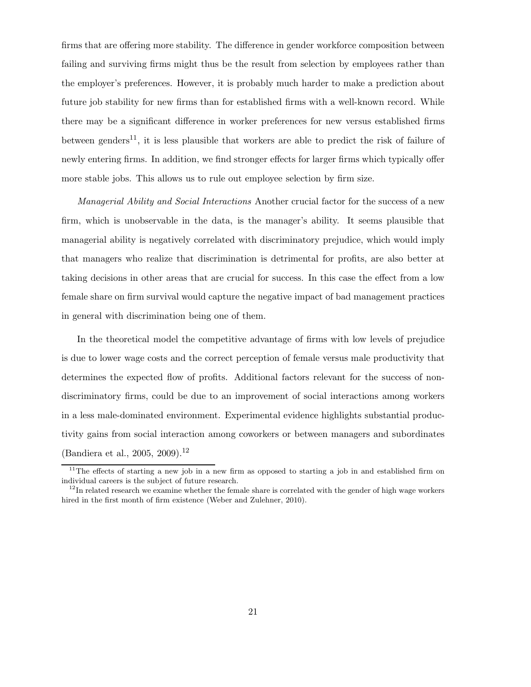firms that are offering more stability. The difference in gender workforce composition between failing and surviving firms might thus be the result from selection by employees rather than the employer's preferences. However, it is probably much harder to make a prediction about future job stability for new firms than for established firms with a well-known record. While there may be a significant difference in worker preferences for new versus established firms between genders<sup>11</sup>, it is less plausible that workers are able to predict the risk of failure of newly entering firms. In addition, we find stronger effects for larger firms which typically offer more stable jobs. This allows us to rule out employee selection by firm size.

*Managerial Ability and Social Interactions* Another crucial factor for the success of a new firm, which is unobservable in the data, is the manager's ability. It seems plausible that managerial ability is negatively correlated with discriminatory prejudice, which would imply that managers who realize that discrimination is detrimental for profits, are also better at taking decisions in other areas that are crucial for success. In this case the effect from a low female share on firm survival would capture the negative impact of bad management practices in general with discrimination being one of them.

In the theoretical model the competitive advantage of firms with low levels of prejudice is due to lower wage costs and the correct perception of female versus male productivity that determines the expected flow of profits. Additional factors relevant for the success of nondiscriminatory firms, could be due to an improvement of social interactions among workers in a less male-dominated environment. Experimental evidence highlights substantial productivity gains from social interaction among coworkers or between managers and subordinates (Bandiera et al., 2005, 2009).<sup>12</sup>

<sup>&</sup>lt;sup>11</sup>The effects of starting a new job in a new firm as opposed to starting a job in and established firm on individual careers is the subject of future research.

 $12$ In related research we examine whether the female share is correlated with the gender of high wage workers hired in the first month of firm existence (Weber and Zulehner, 2010).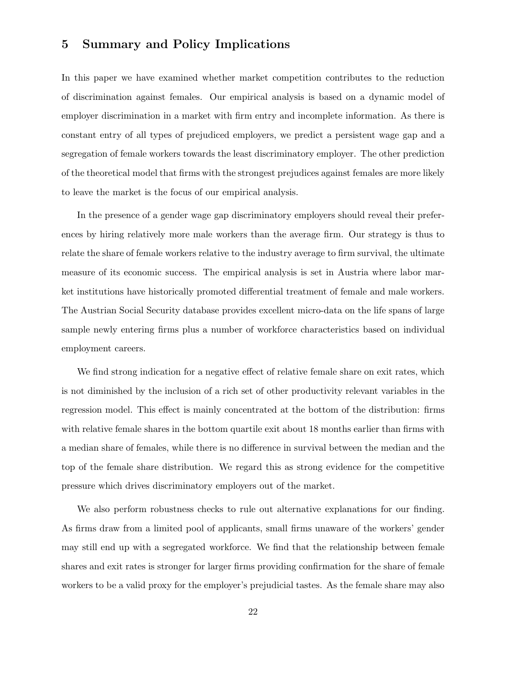## **5 Summary and Policy Implications**

In this paper we have examined whether market competition contributes to the reduction of discrimination against females. Our empirical analysis is based on a dynamic model of employer discrimination in a market with firm entry and incomplete information. As there is constant entry of all types of prejudiced employers, we predict a persistent wage gap and a segregation of female workers towards the least discriminatory employer. The other prediction of the theoretical model that firms with the strongest prejudices against females are more likely to leave the market is the focus of our empirical analysis.

In the presence of a gender wage gap discriminatory employers should reveal their preferences by hiring relatively more male workers than the average firm. Our strategy is thus to relate the share of female workers relative to the industry average to firm survival, the ultimate measure of its economic success. The empirical analysis is set in Austria where labor market institutions have historically promoted differential treatment of female and male workers. The Austrian Social Security database provides excellent micro-data on the life spans of large sample newly entering firms plus a number of workforce characteristics based on individual employment careers.

We find strong indication for a negative effect of relative female share on exit rates, which is not diminished by the inclusion of a rich set of other productivity relevant variables in the regression model. This effect is mainly concentrated at the bottom of the distribution: firms with relative female shares in the bottom quartile exit about 18 months earlier than firms with a median share of females, while there is no difference in survival between the median and the top of the female share distribution. We regard this as strong evidence for the competitive pressure which drives discriminatory employers out of the market.

We also perform robustness checks to rule out alternative explanations for our finding. As firms draw from a limited pool of applicants, small firms unaware of the workers' gender may still end up with a segregated workforce. We find that the relationship between female shares and exit rates is stronger for larger firms providing confirmation for the share of female workers to be a valid proxy for the employer's prejudicial tastes. As the female share may also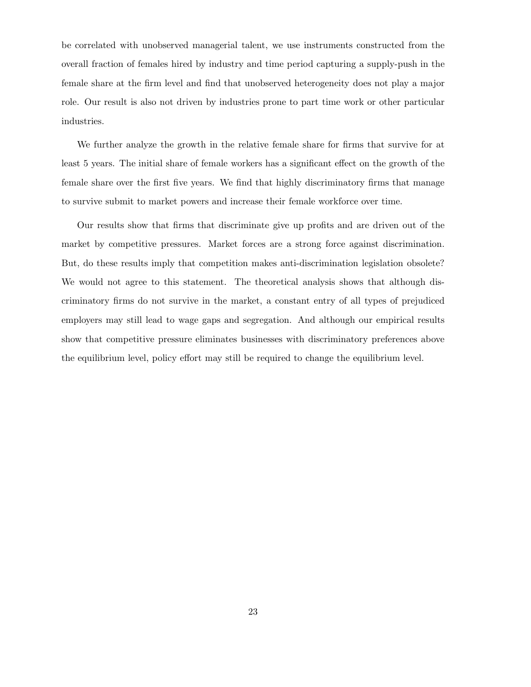be correlated with unobserved managerial talent, we use instruments constructed from the overall fraction of females hired by industry and time period capturing a supply-push in the female share at the firm level and find that unobserved heterogeneity does not play a major role. Our result is also not driven by industries prone to part time work or other particular industries.

We further analyze the growth in the relative female share for firms that survive for at least 5 years. The initial share of female workers has a significant effect on the growth of the female share over the first five years. We find that highly discriminatory firms that manage to survive submit to market powers and increase their female workforce over time.

Our results show that firms that discriminate give up profits and are driven out of the market by competitive pressures. Market forces are a strong force against discrimination. But, do these results imply that competition makes anti-discrimination legislation obsolete? We would not agree to this statement. The theoretical analysis shows that although discriminatory firms do not survive in the market, a constant entry of all types of prejudiced employers may still lead to wage gaps and segregation. And although our empirical results show that competitive pressure eliminates businesses with discriminatory preferences above the equilibrium level, policy effort may still be required to change the equilibrium level.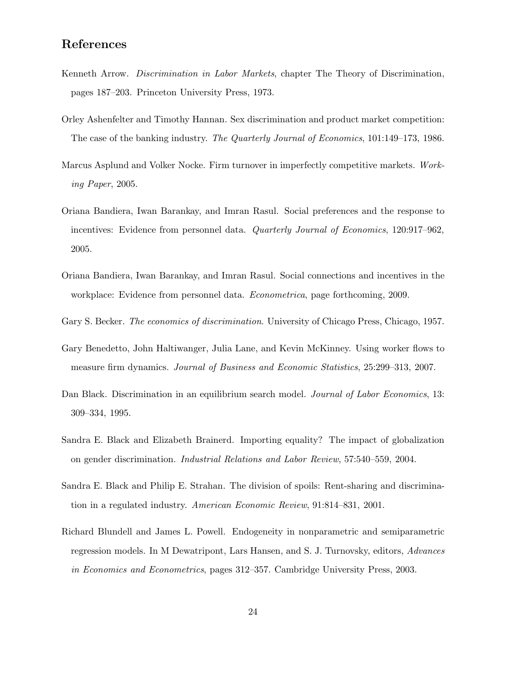### **References**

- Kenneth Arrow. *Discrimination in Labor Markets*, chapter The Theory of Discrimination, pages 187–203. Princeton University Press, 1973.
- Orley Ashenfelter and Timothy Hannan. Sex discrimination and product market competition: The case of the banking industry. *The Quarterly Journal of Economics*, 101:149–173, 1986.
- Marcus Asplund and Volker Nocke. Firm turnover in imperfectly competitive markets. *Working Paper*, 2005.
- Oriana Bandiera, Iwan Barankay, and Imran Rasul. Social preferences and the response to incentives: Evidence from personnel data. *Quarterly Journal of Economics*, 120:917–962, 2005.
- Oriana Bandiera, Iwan Barankay, and Imran Rasul. Social connections and incentives in the workplace: Evidence from personnel data. *Econometrica*, page forthcoming, 2009.
- Gary S. Becker. *The economics of discrimination*. University of Chicago Press, Chicago, 1957.
- Gary Benedetto, John Haltiwanger, Julia Lane, and Kevin McKinney. Using worker flows to measure firm dynamics. *Journal of Business and Economic Statistics*, 25:299–313, 2007.
- Dan Black. Discrimination in an equilibrium search model. *Journal of Labor Economics*, 13: 309–334, 1995.
- Sandra E. Black and Elizabeth Brainerd. Importing equality? The impact of globalization on gender discrimination. *Industrial Relations and Labor Review*, 57:540–559, 2004.
- Sandra E. Black and Philip E. Strahan. The division of spoils: Rent-sharing and discrimination in a regulated industry. *American Economic Review*, 91:814–831, 2001.
- Richard Blundell and James L. Powell. Endogeneity in nonparametric and semiparametric regression models. In M Dewatripont, Lars Hansen, and S. J. Turnovsky, editors, *Advances in Economics and Econometrics*, pages 312–357. Cambridge University Press, 2003.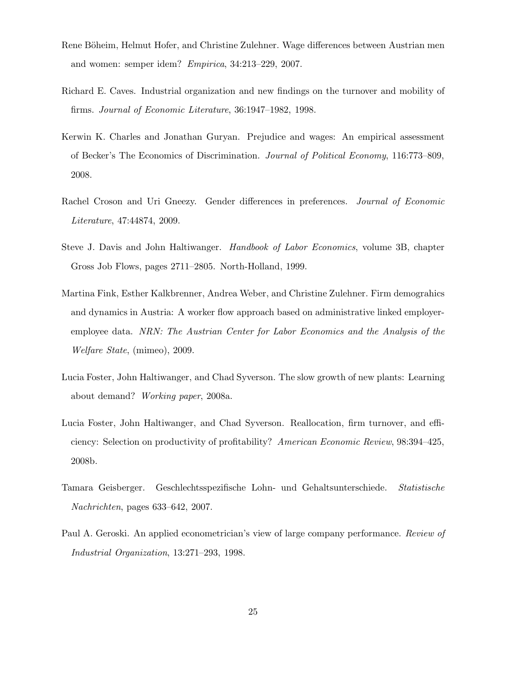- Rene Böheim, Helmut Hofer, and Christine Zulehner. Wage differences between Austrian men and women: semper idem? *Empirica*, 34:213–229, 2007.
- Richard E. Caves. Industrial organization and new findings on the turnover and mobility of firms. *Journal of Economic Literature*, 36:1947–1982, 1998.
- Kerwin K. Charles and Jonathan Guryan. Prejudice and wages: An empirical assessment of Becker's The Economics of Discrimination. *Journal of Political Economy*, 116:773–809, 2008.
- Rachel Croson and Uri Gneezy. Gender differences in preferences. *Journal of Economic Literature*, 47:44874, 2009.
- Steve J. Davis and John Haltiwanger. *Handbook of Labor Economics*, volume 3B, chapter Gross Job Flows, pages 2711–2805. North-Holland, 1999.
- Martina Fink, Esther Kalkbrenner, Andrea Weber, and Christine Zulehner. Firm demograhics and dynamics in Austria: A worker flow approach based on administrative linked employeremployee data. *NRN: The Austrian Center for Labor Economics and the Analysis of the Welfare State*, (mimeo), 2009.
- Lucia Foster, John Haltiwanger, and Chad Syverson. The slow growth of new plants: Learning about demand? *Working paper*, 2008a.
- Lucia Foster, John Haltiwanger, and Chad Syverson. Reallocation, firm turnover, and efficiency: Selection on productivity of profitability? *American Economic Review*, 98:394–425, 2008b.
- Tamara Geisberger. Geschlechtsspezifische Lohn- und Gehaltsunterschiede. *Statistische Nachrichten*, pages 633–642, 2007.
- Paul A. Geroski. An applied econometrician's view of large company performance. *Review of Industrial Organization*, 13:271–293, 1998.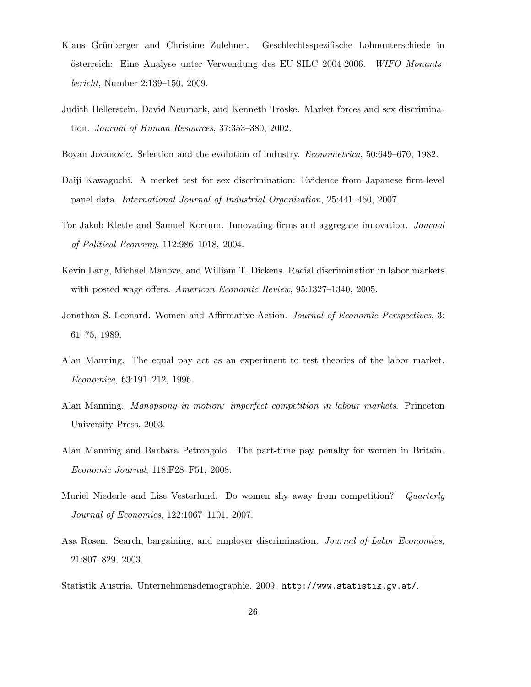- Klaus Grünberger and Christine Zulehner. Geschlechtsspezifische Lohnunterschiede in ¨osterreich: Eine Analyse unter Verwendung des EU-SILC 2004-2006. *WIFO Monantsbericht*, Number 2:139–150, 2009.
- Judith Hellerstein, David Neumark, and Kenneth Troske. Market forces and sex discrimination. *Journal of Human Resources*, 37:353–380, 2002.
- Boyan Jovanovic. Selection and the evolution of industry. *Econometrica*, 50:649–670, 1982.
- Daiji Kawaguchi. A merket test for sex discrimination: Evidence from Japanese firm-level panel data. *International Journal of Industrial Organization*, 25:441–460, 2007.
- Tor Jakob Klette and Samuel Kortum. Innovating firms and aggregate innovation. *Journal of Political Economy*, 112:986–1018, 2004.
- Kevin Lang, Michael Manove, and William T. Dickens. Racial discrimination in labor markets with posted wage offers. *American Economic Review*, 95:1327–1340, 2005.
- Jonathan S. Leonard. Women and Affirmative Action. *Journal of Economic Perspectives*, 3: 61–75, 1989.
- Alan Manning. The equal pay act as an experiment to test theories of the labor market. *Economica*, 63:191–212, 1996.
- Alan Manning. *Monopsony in motion: imperfect competition in labour markets*. Princeton University Press, 2003.
- Alan Manning and Barbara Petrongolo. The part-time pay penalty for women in Britain. *Economic Journal*, 118:F28–F51, 2008.
- Muriel Niederle and Lise Vesterlund. Do women shy away from competition? *Quarterly Journal of Economics*, 122:1067–1101, 2007.
- Asa Rosen. Search, bargaining, and employer discrimination. *Journal of Labor Economics*, 21:807–829, 2003.
- Statistik Austria. Unternehmensdemographie. 2009. http://www.statistik.gv.at/.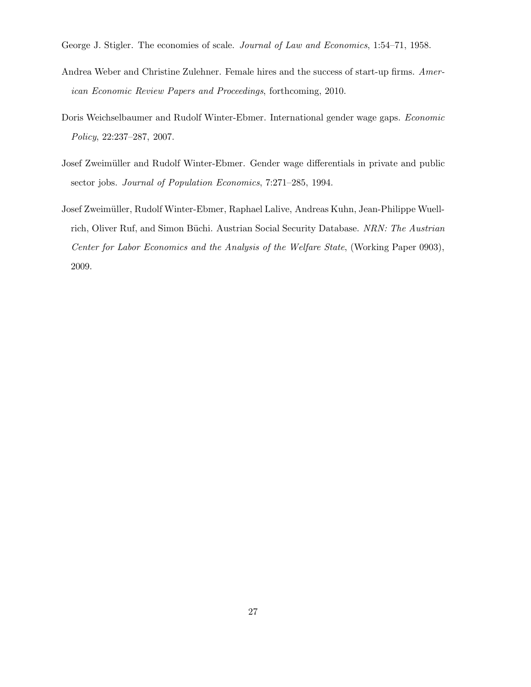George J. Stigler. The economies of scale. *Journal of Law and Economics*, 1:54–71, 1958.

- Andrea Weber and Christine Zulehner. Female hires and the success of start-up firms. *American Economic Review Papers and Proceedings*, forthcoming, 2010.
- Doris Weichselbaumer and Rudolf Winter-Ebmer. International gender wage gaps. *Economic Policy*, 22:237–287, 2007.
- Josef Zweimüller and Rudolf Winter-Ebmer. Gender wage differentials in private and public sector jobs. *Journal of Population Economics*, 7:271–285, 1994.
- Josef Zweimüller, Rudolf Winter-Ebmer, Raphael Lalive, Andreas Kuhn, Jean-Philippe Wuellrich, Oliver Ruf, and Simon Büchi. Austrian Social Security Database. *NRN: The Austrian Center for Labor Economics and the Analysis of the Welfare State*, (Working Paper 0903), 2009.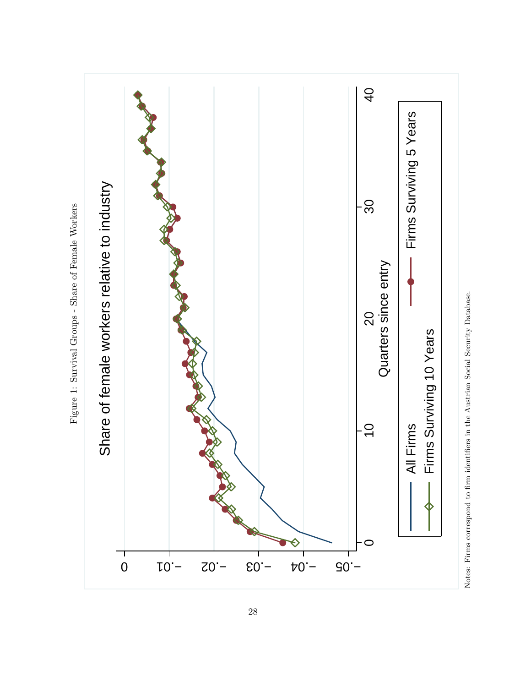

Notes: Firms correspond to firm identifiers in the Austrian Social Security Database. Notes: Firms correspond to firm identifiers in the Austrian Social Security Database.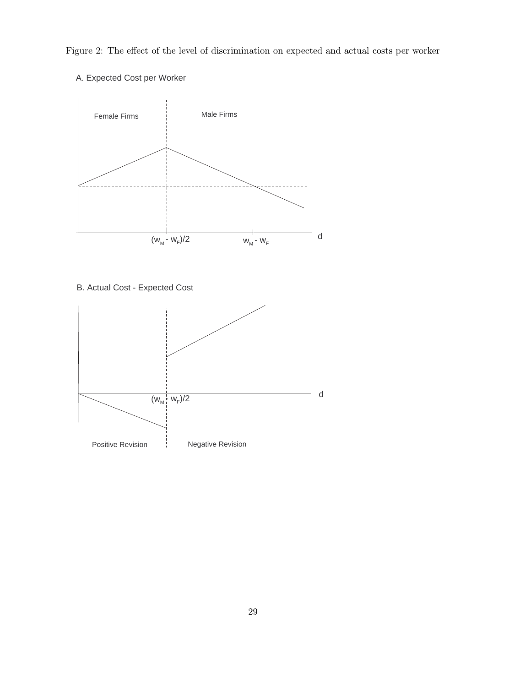Figure 2: The effect of the level of discrimination on expected and actual costs per worker

A. Expected Cost per Worker



B. Actual Cost - Expected Cost

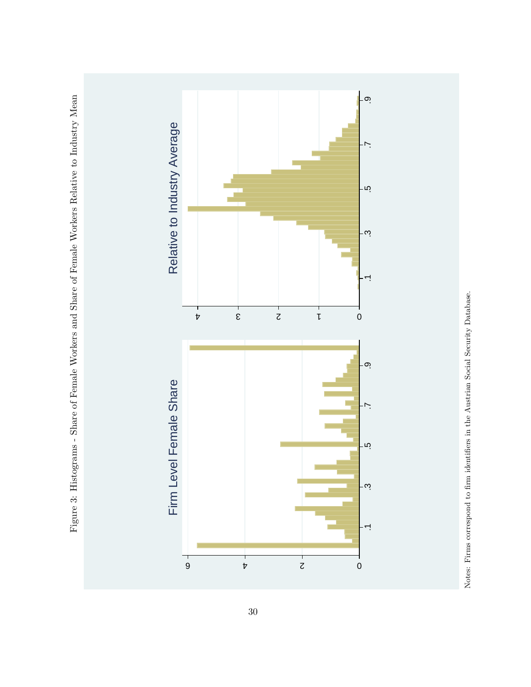

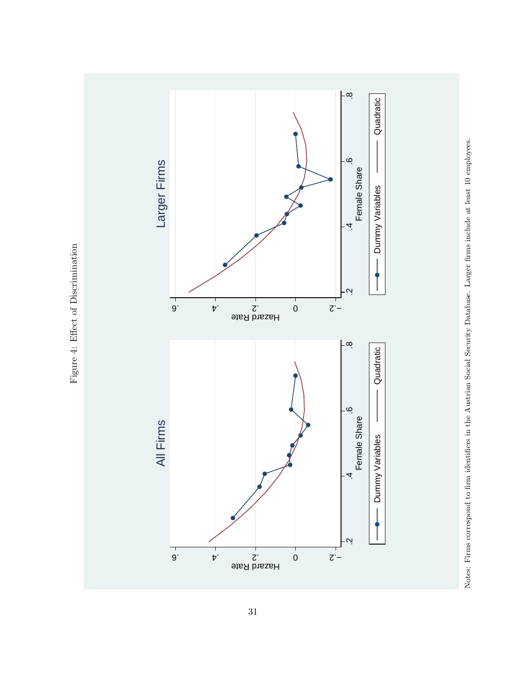

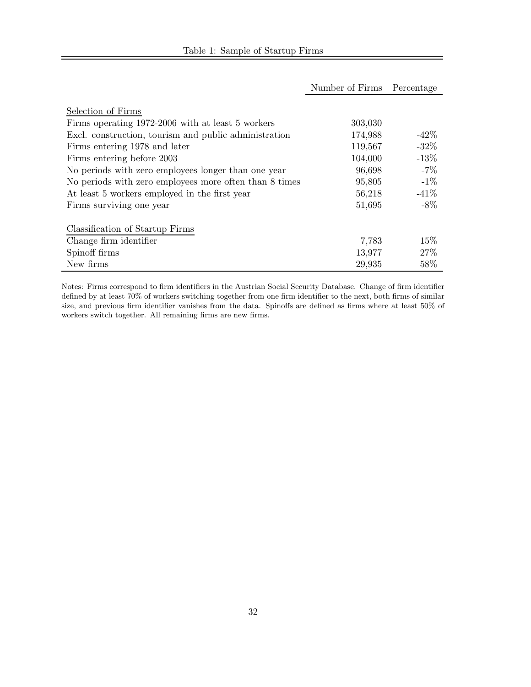|                                                        | Number of Firms Percentage |         |
|--------------------------------------------------------|----------------------------|---------|
| Selection of Firms                                     |                            |         |
| Firms operating 1972-2006 with at least 5 workers      | 303,030                    |         |
| Excl. construction, tourism and public administration  | 174,988                    | $-42\%$ |
| Firms entering 1978 and later                          | 119,567                    | $-32\%$ |
| Firms entering before 2003                             | 104,000                    | $-13\%$ |
| No periods with zero employees longer than one year    | 96,698                     | $-7\%$  |
| No periods with zero employees more often than 8 times | 95,805                     | $-1\%$  |
| At least 5 workers employed in the first year          | 56,218                     | $-41%$  |
| Firms surviving one year                               | 51,695                     | $-8\%$  |
| Classification of Startup Firms                        |                            |         |
| Change firm identifier                                 | 7,783                      | 15\%    |
| Spinoff firms                                          | 13,977                     | 27\%    |
| New firms                                              | 29,935                     | 58\%    |

Notes: Firms correspond to firm identifiers in the Austrian Social Security Database. Change of firm identifier defined by at least 70% of workers switching together from one firm identifier to the next, both firms of similar size, and previous firm identifier vanishes from the data. Spinoffs are defined as firms where at least 50% of workers switch together. All remaining firms are new firms.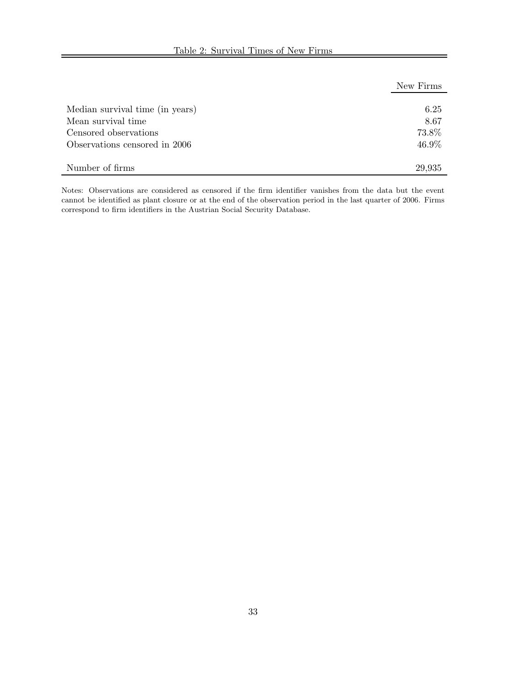|                                 | New Firms |
|---------------------------------|-----------|
| Median survival time (in years) | 6.25      |
| Mean survival time              | 8.67      |
| Censored observations           | 73.8%     |
| Observations censored in 2006   | 46.9%     |
| Number of firms                 | 29,935    |

Notes: Observations are considered as censored if the firm identifier vanishes from the data but the event cannot be identified as plant closure or at the end of the observation period in the last quarter of 2006. Firms correspond to firm identifiers in the Austrian Social Security Database.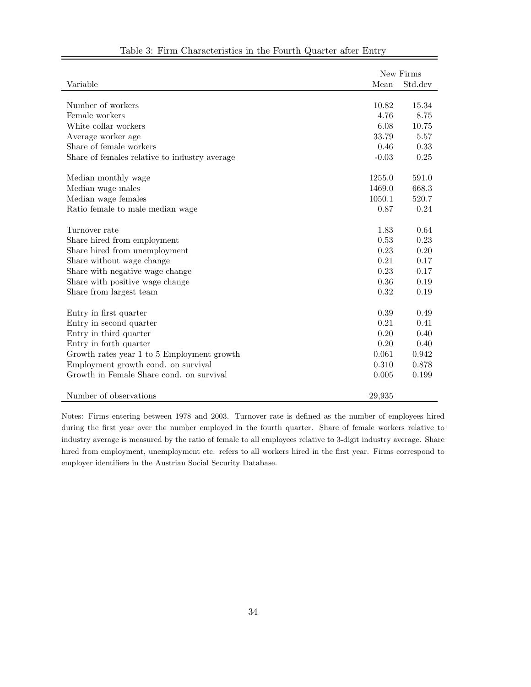|                                               |         | New Firms |
|-----------------------------------------------|---------|-----------|
| Variable                                      | Mean    | Std.dev   |
|                                               |         |           |
| Number of workers                             | 10.82   | 15.34     |
| Female workers                                | 4.76    | 8.75      |
| White collar workers                          | 6.08    | 10.75     |
| Average worker age                            | 33.79   | 5.57      |
| Share of female workers                       | 0.46    | 0.33      |
| Share of females relative to industry average | $-0.03$ | 0.25      |
| Median monthly wage                           | 1255.0  | 591.0     |
| Median wage males                             | 1469.0  | 668.3     |
| Median wage females                           | 1050.1  | 520.7     |
| Ratio female to male median wage              | 0.87    | 0.24      |
| Turnover rate                                 | 1.83    | 0.64      |
| Share hired from employment                   | 0.53    | 0.23      |
| Share hired from unemployment                 | 0.23    | 0.20      |
| Share without wage change                     | 0.21    | 0.17      |
| Share with negative wage change               | 0.23    | 0.17      |
| Share with positive wage change               | 0.36    | 0.19      |
| Share from largest team                       | 0.32    | 0.19      |
|                                               |         |           |
| Entry in first quarter                        | 0.39    | 0.49      |
| Entry in second quarter                       | 0.21    | 0.41      |
| Entry in third quarter                        | 0.20    | 0.40      |
| Entry in forth quarter                        | 0.20    | 0.40      |
| Growth rates year 1 to 5 Employment growth    | 0.061   | 0.942     |
| Employment growth cond. on survival           | 0.310   | 0.878     |
| Growth in Female Share cond. on survival      | 0.005   | 0.199     |
| Number of observations                        | 29,935  |           |

#### Table 3: Firm Characteristics in the Fourth Quarter after Entry

Notes: Firms entering between 1978 and 2003. Turnover rate is defined as the number of employees hired during the first year over the number employed in the fourth quarter. Share of female workers relative to industry average is measured by the ratio of female to all employees relative to 3-digit industry average. Share hired from employment, unemployment etc. refers to all workers hired in the first year. Firms correspond to employer identifiers in the Austrian Social Security Database.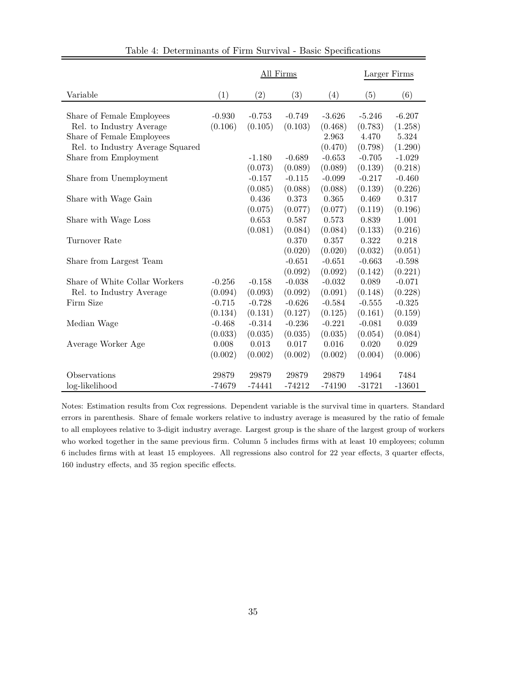|                                  |          | All Firms | Larger Firms |          |          |          |
|----------------------------------|----------|-----------|--------------|----------|----------|----------|
| Variable                         | (1)      | (2)       | (3)          | (4)      | (5)      | (6)      |
| Share of Female Employees        | $-0.930$ | $-0.753$  | $-0.749$     | $-3.626$ | $-5.246$ | $-6.207$ |
| Rel. to Industry Average         | (0.106)  | (0.105)   | (0.103)      | (0.468)  | (0.783)  | (1.258)  |
| Share of Female Employees        |          |           |              | 2.963    | 4.470    | 5.324    |
| Rel. to Industry Average Squared |          |           |              | (0.470)  | (0.798)  | (1.290)  |
| Share from Employment            |          | $-1.180$  | $-0.689$     | $-0.653$ | $-0.705$ | $-1.029$ |
|                                  |          | (0.073)   | (0.089)      | (0.089)  | (0.139)  | (0.218)  |
| Share from Unemployment          |          | $-0.157$  | $-0.115$     | $-0.099$ | $-0.217$ | $-0.460$ |
|                                  |          | (0.085)   | (0.088)      | (0.088)  | (0.139)  | (0.226)  |
| Share with Wage Gain             |          | 0.436     | 0.373        | 0.365    | 0.469    | 0.317    |
|                                  |          | (0.075)   | (0.077)      | (0.077)  | (0.119)  | (0.196)  |
| Share with Wage Loss             |          | 0.653     | 0.587        | 0.573    | 0.839    | 1.001    |
|                                  |          | (0.081)   | (0.084)      | (0.084)  | (0.133)  | (0.216)  |
| Turnover Rate                    |          |           | 0.370        | 0.357    | 0.322    | 0.218    |
|                                  |          |           | (0.020)      | (0.020)  | (0.032)  | (0.051)  |
| Share from Largest Team          |          |           | $-0.651$     | $-0.651$ | $-0.663$ | $-0.598$ |
|                                  |          |           | (0.092)      | (0.092)  | (0.142)  | (0.221)  |
| Share of White Collar Workers    | $-0.256$ | $-0.158$  | $-0.038$     | $-0.032$ | 0.089    | $-0.071$ |
| Rel. to Industry Average         | (0.094)  | (0.093)   | (0.092)      | (0.091)  | (0.148)  | (0.228)  |
| Firm Size                        | $-0.715$ | $-0.728$  | $-0.626$     | $-0.584$ | $-0.555$ | $-0.325$ |
|                                  | (0.134)  | (0.131)   | (0.127)      | (0.125)  | (0.161)  | (0.159)  |
| Median Wage                      | $-0.468$ | $-0.314$  | $-0.236$     | $-0.221$ | $-0.081$ | 0.039    |
|                                  | (0.033)  | (0.035)   | (0.035)      | (0.035)  | (0.054)  | (0.084)  |
| Average Worker Age               | 0.008    | 0.013     | 0.017        | 0.016    | 0.020    | 0.029    |
|                                  | (0.002)  | (0.002)   | (0.002)      | (0.002)  | (0.004)  | (0.006)  |
| Observations                     | 29879    | 29879     | 29879        | 29879    | 14964    | 7484     |
| log-likelihood                   | $-74679$ | $-74441$  | $-74212$     | $-74190$ | $-31721$ | $-13601$ |

Table 4: Determinants of Firm Survival - Basic Specifications

Notes: Estimation results from Cox regressions. Dependent variable is the survival time in quarters. Standard errors in parenthesis. Share of female workers relative to industry average is measured by the ratio of female to all employees relative to 3-digit industry average. Largest group is the share of the largest group of workers who worked together in the same previous firm. Column 5 includes firms with at least 10 employees; column 6 includes firms with at least 15 employees. All regressions also control for 22 year effects, 3 quarter effects, 160 industry effects, and 35 region specific effects.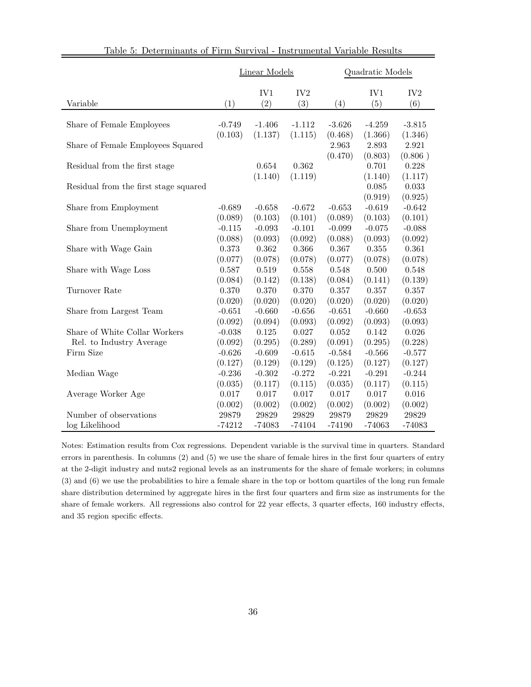|                                       |          | Linear Models |                 | Quadratic Models |          |                 |  |
|---------------------------------------|----------|---------------|-----------------|------------------|----------|-----------------|--|
|                                       |          | IV1           | IV <sub>2</sub> |                  | IV1      | IV <sub>2</sub> |  |
| Variable                              | (1)      | (2)           | (3)             | (4)              | (5)      | (6)             |  |
| Share of Female Employees             | $-0.749$ | $-1.406$      | $-1.112$        | $-3.626$         | $-4.259$ | $-3.815$        |  |
|                                       | (0.103)  | (1.137)       | (1.115)         | (0.468)          | (1.366)  | (1.346)         |  |
| Share of Female Employees Squared     |          |               |                 | 2.963            | 2.893    | 2.921           |  |
|                                       |          |               |                 | (0.470)          | (0.803)  | (0.806)         |  |
| Residual from the first stage         |          | 0.654         | 0.362           |                  | 0.701    | 0.228           |  |
|                                       |          | (1.140)       | (1.119)         |                  | (1.140)  | (1.117)         |  |
| Residual from the first stage squared |          |               |                 |                  | 0.085    | 0.033           |  |
|                                       |          |               |                 |                  | (0.919)  | (0.925)         |  |
| Share from Employment                 | $-0.689$ | $-0.658$      | $-0.672$        | $-0.653$         | $-0.619$ | $-0.642$        |  |
|                                       | (0.089)  | (0.103)       | (0.101)         | (0.089)          | (0.103)  | (0.101)         |  |
| Share from Unemployment               | $-0.115$ | $-0.093$      | $-0.101$        | $-0.099$         | $-0.075$ | $-0.088$        |  |
|                                       | (0.088)  | (0.093)       | (0.092)         | (0.088)          | (0.093)  | (0.092)         |  |
| Share with Wage Gain                  | 0.373    | $0.362\,$     | 0.366           | 0.367            | 0.355    | 0.361           |  |
|                                       | (0.077)  | (0.078)       | (0.078)         | (0.077)          | (0.078)  | (0.078)         |  |
| Share with Wage Loss                  | 0.587    | 0.519         | 0.558           | 0.548            | 0.500    | 0.548           |  |
|                                       | (0.084)  | (0.142)       | (0.138)         | (0.084)          | (0.141)  | (0.139)         |  |
| Turnover Rate                         | 0.370    | 0.370         | 0.370           | 0.357            | 0.357    | 0.357           |  |
|                                       | (0.020)  | (0.020)       | (0.020)         | (0.020)          | (0.020)  | (0.020)         |  |
| Share from Largest Team               | $-0.651$ | $-0.660$      | $-0.656$        | $-0.651$         | $-0.660$ | $-0.653$        |  |
|                                       | (0.092)  | (0.094)       | (0.093)         | (0.092)          | (0.093)  | (0.093)         |  |
| Share of White Collar Workers         | $-0.038$ | 0.125         | 0.027           | 0.052            | 0.142    | 0.026           |  |
| Rel. to Industry Average              | (0.092)  | (0.295)       | (0.289)         | (0.091)          | (0.295)  | (0.228)         |  |
| Firm Size                             | $-0.626$ | $-0.609$      | $-0.615$        | $-0.584$         | $-0.566$ | $-0.577$        |  |
|                                       | (0.127)  | (0.129)       | (0.129)         | (0.125)          | (0.127)  | (0.127)         |  |
| Median Wage                           | $-0.236$ | $-0.302$      | $-0.272$        | $-0.221$         | $-0.291$ | $-0.244$        |  |
|                                       | (0.035)  | (0.117)       | (0.115)         | (0.035)          | (0.117)  | (0.115)         |  |
| Average Worker Age                    | 0.017    | $0.017\,$     | 0.017           | 0.017            | 0.017    | 0.016           |  |
|                                       | (0.002)  | (0.002)       | (0.002)         | (0.002)          | (0.002)  | (0.002)         |  |
| Number of observations                | 29879    | 29829         | 29829           | 29879            | 29829    | 29829           |  |
| log Likelihood                        | $-74212$ | $-74083$      | $-74104$        | $-74190$         | $-74063$ | $-74083$        |  |

| Table 5: Determinants of Firm Survival - Instrumental Variable Results |  |  |  |
|------------------------------------------------------------------------|--|--|--|
|                                                                        |  |  |  |

Notes: Estimation results from Cox regressions. Dependent variable is the survival time in quarters. Standard errors in parenthesis. In columns (2) and (5) we use the share of female hires in the first four quarters of entry at the 2-digit industry and nuts2 regional levels as an instruments for the share of female workers; in columns (3) and (6) we use the probabilities to hire a female share in the top or bottom quartiles of the long run female share distribution determined by aggregate hires in the first four quarters and firm size as instruments for the share of female workers. All regressions also control for 22 year effects, 3 quarter effects, 160 industry effects, and 35 region specific effects.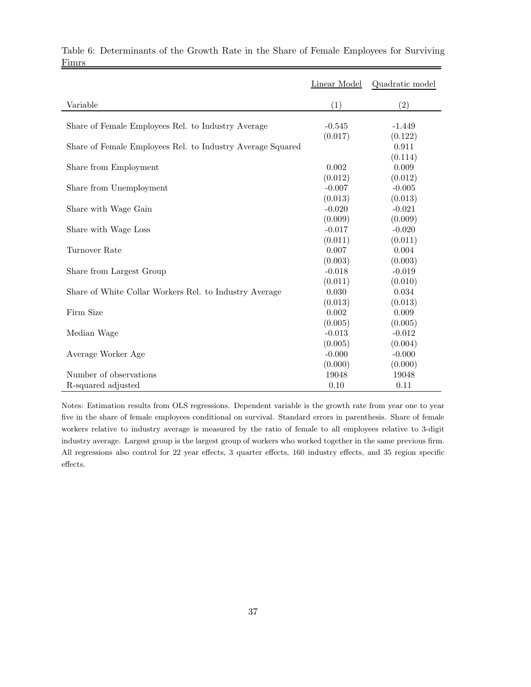|                                                            | Linear Model | Quadratic model   |
|------------------------------------------------------------|--------------|-------------------|
| Variable                                                   | (1)          | $\left( 2\right)$ |
|                                                            |              |                   |
| Share of Female Employees Rel. to Industry Average         | $-0.545$     | $-1.449$          |
|                                                            | (0.017)      | (0.122)<br>0.911  |
| Share of Female Employees Rel. to Industry Average Squared |              |                   |
|                                                            |              | (0.114)           |
| Share from Employment                                      | 0.002        | 0.009             |
|                                                            | (0.012)      | (0.012)           |
| Share from Unemployment                                    | $-0.007$     | $-0.005$          |
|                                                            | (0.013)      | (0.013)           |
| Share with Wage Gain                                       | $-0.020$     | $-0.021$          |
|                                                            | (0.009)      | (0.009)           |
| Share with Wage Loss                                       | $-0.017$     | $-0.020$          |
|                                                            | (0.011)      | (0.011)           |
| Turnover Rate                                              | 0.007        | 0.004             |
|                                                            | (0.003)      | (0.003)           |
| Share from Largest Group                                   | $-0.018$     | $-0.019$          |
|                                                            | (0.011)      | (0.010)           |
| Share of White Collar Workers Rel. to Industry Average     | 0.030        | 0.034             |
|                                                            | (0.013)      | (0.013)           |
| Firm Size                                                  | 0.002        | 0.009             |
|                                                            | (0.005)      | (0.005)           |
|                                                            | $-0.013$     | $-0.012$          |
| Median Wage                                                |              |                   |
|                                                            | (0.005)      | (0.004)           |
| Average Worker Age                                         | $-0.000$     | $-0.000$          |
|                                                            | (0.000)      | (0.000)           |
| Number of observations                                     | 19048        | 19048             |
| R-squared adjusted                                         | 0.10         | 0.11              |

Table 6: Determinants of the Growth Rate in the Share of Female Employees for Surviving Fimrs

Notes: Estimation results from OLS regressions. Dependent variable is the growth rate from year one to year five in the share of female employees conditional on survival. Standard errors in parenthesis. Share of female workers relative to industry average is measured by the ratio of female to all employees relative to 3-digit industry average. Largest group is the largest group of workers who worked together in the same previous firm. All regressions also control for 22 year effects, 3 quarter effects, 160 industry effects, and 35 region specific effects.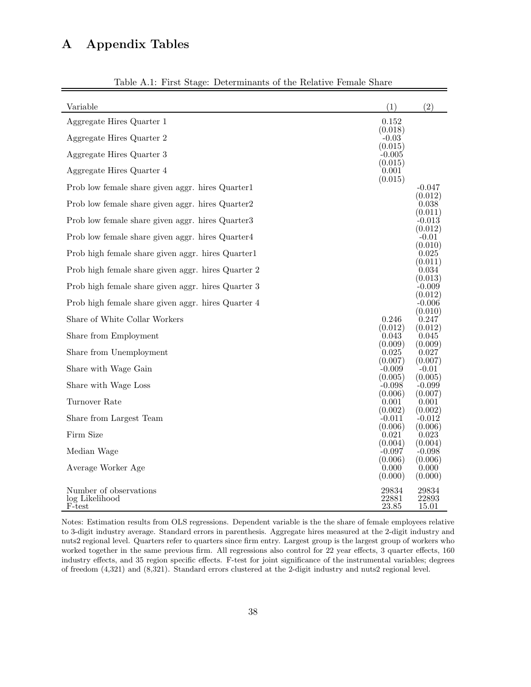## **A Appendix Tables**

| Variable                                           | (1)                           | (2)                     |
|----------------------------------------------------|-------------------------------|-------------------------|
| Aggregate Hires Quarter 1                          | 0.152                         |                         |
| Aggregate Hires Quarter 2                          | (0.018)<br>$-0.03$            |                         |
| Aggregate Hires Quarter 3                          | (0.015)<br>-0.005             |                         |
| Aggregate Hires Quarter 4                          | (0.015)<br>[0.001]<br>(0.015) |                         |
| Prob low female share given aggr. hires Quarter1   |                               | $-0.047$                |
| Prob low female share given aggr. hires Quarter2   |                               | (0.012)<br>0.038        |
| Prob low female share given aggr. hires Quarter3   |                               | (0.011)<br>$-0.013$     |
| Prob low female share given aggr. hires Quarter4   |                               | (0.012)<br>-0.01        |
| Prob high female share given aggr. hires Quarter1  |                               | (0.010)<br>0.025        |
| Prob high female share given aggr. hires Quarter 2 |                               | (0.011)<br>0.034        |
| Prob high female share given aggr. hires Quarter 3 |                               | (0.013)<br>$-0.009$     |
| Prob high female share given aggr. hires Quarter 4 |                               | (0.012)<br>-0.006       |
| Share of White Collar Workers                      | 0.246                         | (0.010)<br>0.247        |
| Share from Employment                              | (0.012)<br>0.043              | (0.012)<br>0.045        |
| Share from Unemployment                            | (0.009)<br>0.025              | (0.009)<br>0.027        |
| Share with Wage Gain                               | (0.007)<br>-0.009             | (0.007)<br>$-0.01$      |
| Share with Wage Loss                               | (0.005)<br>$-0.098$           | (0.005)<br>$-0.099$     |
| Turnover Rate                                      | (0.006)<br>0.001              | (0.007)<br>0.001        |
| Share from Largest Team                            | (0.002)<br>-0.011             | (0.002)<br>$-0.012$     |
| Firm Size                                          | (0.006)<br>0.021              | (0.006)<br>0.023        |
| Median Wage                                        | (0.004)<br>$-0.097$           | (0.004)<br>$-0.098$     |
| Average Worker Age                                 | (0.006)<br>0.000              | (0.006)<br>0.000        |
|                                                    | (0.000)                       | (0.000)                 |
| Number of observations<br>log Likelihood<br>F-test | 29834<br>22881<br>23.85       | 29834<br>22893<br>15.01 |

Table A.1: First Stage: Determinants of the Relative Female Share

Notes: Estimation results from OLS regressions. Dependent variable is the the share of female employees relative to 3-digit industry average. Standard errors in parenthesis. Aggregate hires measured at the 2-digit industry and nuts2 regional level. Quarters refer to quarters since firm entry. Largest group is the largest group of workers who worked together in the same previous firm. All regressions also control for 22 year effects, 3 quarter effects, 160 industry effects, and 35 region specific effects. F-test for joint significance of the instrumental variables; degrees of freedom (4,321) and (8,321). Standard errors clustered at the 2-digit industry and nuts2 regional level.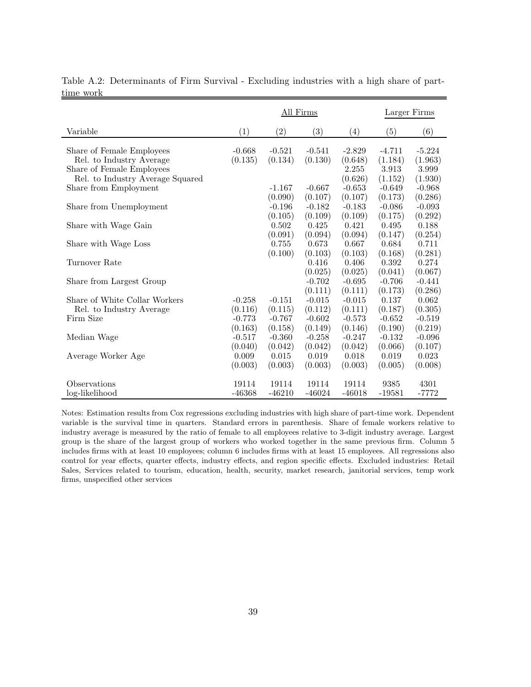|                                  | All Firms |                   |          |          | Larger Firms |          |  |
|----------------------------------|-----------|-------------------|----------|----------|--------------|----------|--|
| Variable                         | (1)       | $\left( 2\right)$ | (3)      | (4)      | (5)          | (6)      |  |
| Share of Female Employees        | $-0.668$  | $-0.521$          | $-0.541$ | $-2.829$ | $-4.711$     | $-5.224$ |  |
| Rel. to Industry Average         | (0.135)   | (0.134)           | (0.130)  | (0.648)  | (1.184)      | (1.963)  |  |
| Share of Female Employees        |           |                   |          | 2.255    | 3.913        | 3.999    |  |
| Rel. to Industry Average Squared |           |                   |          | (0.626)  | (1.152)      | (1.930)  |  |
| Share from Employment            |           | $-1.167$          | $-0.667$ | $-0.653$ | $-0.649$     | $-0.968$ |  |
|                                  |           | (0.090)           | (0.107)  | (0.107)  | (0.173)      | (0.286)  |  |
| Share from Unemployment          |           | $-0.196$          | $-0.182$ | $-0.183$ | $-0.086$     | $-0.093$ |  |
|                                  |           | (0.105)           | (0.109)  | (0.109)  | (0.175)      | (0.292)  |  |
| Share with Wage Gain             |           | 0.502             | 0.425    | 0.421    | 0.495        | 0.188    |  |
|                                  |           | (0.091)           | (0.094)  | (0.094)  | (0.147)      | (0.254)  |  |
| Share with Wage Loss             |           | 0.755             | 0.673    | 0.667    | 0.684        | 0.711    |  |
|                                  |           | (0.100)           | (0.103)  | (0.103)  | (0.168)      | (0.281)  |  |
| Turnover Rate                    |           |                   | 0.416    | 0.406    | 0.392        | 0.274    |  |
|                                  |           |                   | (0.025)  | (0.025)  | (0.041)      | (0.067)  |  |
| Share from Largest Group         |           |                   | $-0.702$ | $-0.695$ | $-0.706$     | $-0.441$ |  |
|                                  |           |                   | (0.111)  | (0.111)  | (0.173)      | (0.286)  |  |
| Share of White Collar Workers    | $-0.258$  | $-0.151$          | $-0.015$ | $-0.015$ | 0.137        | 0.062    |  |
| Rel. to Industry Average         | (0.116)   | (0.115)           | (0.112)  | (0.111)  | (0.187)      | (0.305)  |  |
| Firm Size                        | $-0.773$  | $-0.767$          | $-0.602$ | $-0.573$ | $-0.652$     | $-0.519$ |  |
|                                  | (0.163)   | (0.158)           | (0.149)  | (0.146)  | (0.190)      | (0.219)  |  |
| Median Wage                      | $-0.517$  | $-0.360$          | $-0.258$ | $-0.247$ | $-0.132$     | $-0.096$ |  |
|                                  | (0.040)   | (0.042)           | (0.042)  | (0.042)  | (0.066)      | (0.107)  |  |
| Average Worker Age               | 0.009     | 0.015             | 0.019    | 0.018    | 0.019        | 0.023    |  |
|                                  | (0.003)   | (0.003)           | (0.003)  | (0.003)  | (0.005)      | (0.008)  |  |
| Observations                     | 19114     | 19114             | 19114    | 19114    | 9385         | 4301     |  |
| log-likelihood                   | $-46368$  | $-46210$          | -46024   | $-46018$ | $-19581$     | -7772    |  |

Table A.2: Determinants of Firm Survival - Excluding industries with a high share of parttime work

Notes: Estimation results from Cox regressions excluding industries with high share of part-time work. Dependent variable is the survival time in quarters. Standard errors in parenthesis. Share of female workers relative to industry average is measured by the ratio of female to all employees relative to 3-digit industry average. Largest group is the share of the largest group of workers who worked together in the same previous firm. Column 5 includes firms with at least 10 employees; column 6 includes firms with at least 15 employees. All regressions also control for year effects, quarter effects, industry effects, and region specific effects. Excluded industries: Retail Sales, Services related to tourism, education, health, security, market research, janitorial services, temp work firms, unspecified other services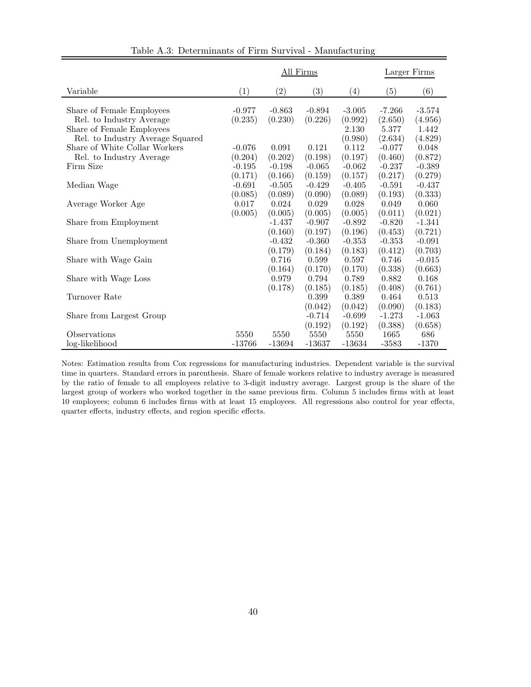|                                  |          | All Firms | Larger Firms |          |          |          |
|----------------------------------|----------|-----------|--------------|----------|----------|----------|
| Variable                         | (1)      | (2)       | (3)          | (4)      | (5)      | (6)      |
| Share of Female Employees        | $-0.977$ | $-0.863$  | $-0.894$     | $-3.005$ | $-7.266$ | $-3.574$ |
| Rel. to Industry Average         | (0.235)  | (0.230)   | (0.226)      | (0.992)  | (2.650)  | (4.956)  |
| Share of Female Employees        |          |           |              | 2.130    | 5.377    | 1.442    |
| Rel. to Industry Average Squared |          |           |              | (0.980)  | (2.634)  | (4.829)  |
| Share of White Collar Workers    | $-0.076$ | 0.091     | 0.121        | 0.112    | $-0.077$ | 0.048    |
| Rel. to Industry Average         | (0.204)  | (0.202)   | (0.198)      | (0.197)  | (0.460)  | (0.872)  |
| Firm Size                        | $-0.195$ | $-0.198$  | $-0.065$     | $-0.062$ | $-0.237$ | $-0.389$ |
|                                  | (0.171)  | (0.166)   | (0.159)      | (0.157)  | (0.217)  | (0.279)  |
| Median Wage                      | $-0.691$ | $-0.505$  | $-0.429$     | $-0.405$ | $-0.591$ | $-0.437$ |
|                                  | (0.085)  | (0.089)   | (0.090)      | (0.089)  | (0.193)  | (0.333)  |
| Average Worker Age               | 0.017    | 0.024     | 0.029        | 0.028    | 0.049    | 0.060    |
|                                  | (0.005)  | (0.005)   | (0.005)      | (0.005)  | (0.011)  | (0.021)  |
| Share from Employment            |          | $-1.437$  | $-0.907$     | $-0.892$ | $-0.820$ | $-1.341$ |
|                                  |          | (0.160)   | (0.197)      | (0.196)  | (0.453)  | (0.721)  |
| Share from Unemployment          |          | $-0.432$  | $-0.360$     | $-0.353$ | $-0.353$ | $-0.091$ |
|                                  |          | (0.179)   | (0.184)      | (0.183)  | (0.412)  | (0.703)  |
| Share with Wage Gain             |          | 0.716     | 0.599        | 0.597    | 0.746    | $-0.015$ |
|                                  |          | (0.164)   | (0.170)      | (0.170)  | (0.338)  | (0.663)  |
| Share with Wage Loss             |          | 0.979     | 0.794        | 0.789    | 0.882    | 0.168    |
|                                  |          | (0.178)   | (0.185)      | (0.185)  | (0.408)  | (0.761)  |
| Turnover Rate                    |          |           | 0.399        | 0.389    | 0.464    | 0.513    |
|                                  |          |           | (0.042)      | (0.042)  | (0.090)  | (0.183)  |
| Share from Largest Group         |          |           | $-0.714$     | $-0.699$ | $-1.273$ | $-1.063$ |
|                                  |          |           | (0.192)      | (0.192)  | (0.388)  | (0.658)  |
| Observations                     | 5550     | 5550      | 5550         | 5550     | 1665     | 686      |
| log-likelihood                   | $-13766$ | -13694    | $-13637$     | $-13634$ | $-3583$  | $-1370$  |
|                                  |          |           |              |          |          |          |

Table A.3: Determinants of Firm Survival - Manufacturing

Notes: Estimation results from Cox regressions for manufacturing industries. Dependent variable is the survival time in quarters. Standard errors in parenthesis. Share of female workers relative to industry average is measured by the ratio of female to all employees relative to 3-digit industry average. Largest group is the share of the largest group of workers who worked together in the same previous firm. Column 5 includes firms with at least 10 employees; column 6 includes firms with at least 15 employees. All regressions also control for year effects, quarter effects, industry effects, and region specific effects.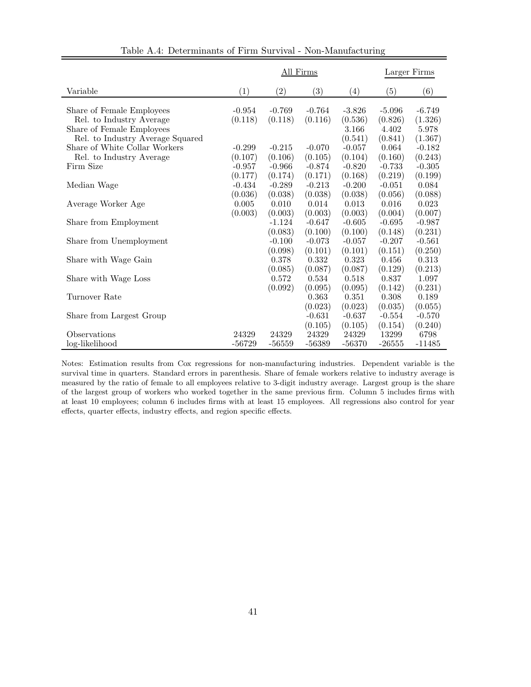|                                  |          | All Firms | Larger Firms |                  |                  |                 |
|----------------------------------|----------|-----------|--------------|------------------|------------------|-----------------|
| Variable                         | (1)      | (2)       | (3)          | (4)              | (5)              | (6)             |
| Share of Female Employees        | $-0.954$ | $-0.769$  | $-0.764$     | $-3.826$         | $-5.096$         | -6.749          |
| Rel. to Industry Average         | (0.118)  | (0.118)   | (0.116)      | (0.536)          | (0.826)          | (1.326)         |
| Share of Female Employees        |          |           |              | 3.166            | 4.402            | 5.978           |
| Rel. to Industry Average Squared |          |           |              | (0.541)          | (0.841)          | (1.367)         |
| Share of White Collar Workers    | $-0.299$ | $-0.215$  | $-0.070$     | $-0.057$         | 0.064            | $-0.182$        |
| Rel. to Industry Average         | (0.107)  | (0.106)   | (0.105)      | (0.104)          | (0.160)          | (0.243)         |
| Firm Size                        | $-0.957$ | $-0.966$  | $-0.874$     | $-0.820$         | $-0.733$         | $-0.305$        |
|                                  | (0.177)  | (0.174)   | (0.171)      | (0.168)          | (0.219)          | (0.199)         |
| Median Wage                      | $-0.434$ | $-0.289$  | $-0.213$     | $-0.200$         | $-0.051$         | 0.084           |
|                                  | (0.036)  | (0.038)   | (0.038)      | (0.038)          | (0.056)          | (0.088)         |
| Average Worker Age               | 0.005    | 0.010     | 0.014        | 0.013            | 0.016            | 0.023           |
|                                  | (0.003)  | (0.003)   | (0.003)      | (0.003)          | (0.004)          | (0.007)         |
| Share from Employment            |          | $-1.124$  | $-0.647$     | $-0.605$         | $-0.695$         | $-0.987$        |
|                                  |          | (0.083)   | (0.100)      | (0.100)          | (0.148)          | (0.231)         |
| Share from Unemployment          |          | $-0.100$  | $-0.073$     | $-0.057$         | $-0.207$         | $-0.561$        |
|                                  |          | (0.098)   | (0.101)      | (0.101)          | (0.151)          | (0.250)         |
| Share with Wage Gain             |          | 0.378     | 0.332        | 0.323            | 0.456            | 0.313           |
|                                  |          | (0.085)   | (0.087)      | (0.087)          | (0.129)          | (0.213)         |
| Share with Wage Loss             |          | 0.572     | 0.534        | 0.518            | 0.837            | 1.097           |
|                                  |          | (0.092)   | (0.095)      | (0.095)          | (0.142)          | (0.231)         |
| Turnover Rate                    |          |           | 0.363        | 0.351            | 0.308            | 0.189           |
|                                  |          |           | (0.023)      | (0.023)          | (0.035)          | (0.055)         |
| Share from Largest Group         |          |           | $-0.631$     | $-0.637$         | $-0.554$         | $-0.570$        |
|                                  |          |           | (0.105)      |                  |                  |                 |
| Observations                     | 24329    | 24329     | 24329        | (0.105)<br>24329 | (0.154)<br>13299 | (0.240)<br>6798 |
| log-likelihood                   | $-56729$ | -56559    | $-56389$     | $-56370$         | $-26555$         | $-11485$        |
|                                  |          |           |              |                  |                  |                 |

Table A.4: Determinants of Firm Survival - Non-Manufacturing

Notes: Estimation results from Cox regressions for non-manufacturing industries. Dependent variable is the survival time in quarters. Standard errors in parenthesis. Share of female workers relative to industry average is measured by the ratio of female to all employees relative to 3-digit industry average. Largest group is the share of the largest group of workers who worked together in the same previous firm. Column 5 includes firms with at least 10 employees; column 6 includes firms with at least 15 employees. All regressions also control for year effects, quarter effects, industry effects, and region specific effects.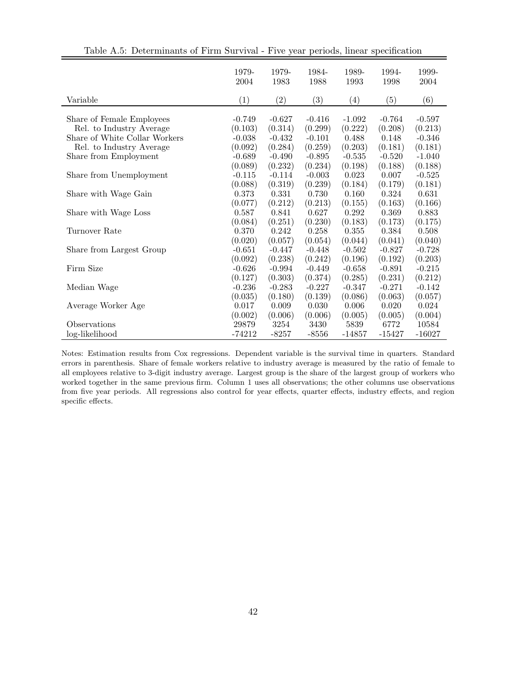|                                                           | 1979-<br>2004       | 1979-<br>1983       | 1984-<br>1988       | 1989-<br>1993       | 1994-<br>1998       | 1999-<br>2004       |
|-----------------------------------------------------------|---------------------|---------------------|---------------------|---------------------|---------------------|---------------------|
| Variable                                                  | (1)                 | (2)                 | (3)                 | (4)                 | (5)                 | (6)                 |
|                                                           |                     |                     |                     |                     |                     |                     |
| Share of Female Employees                                 | $-0.749$            | $-0.627$<br>(0.314) | $-0.416$<br>(0.299) | $-1.092$<br>(0.222) | $-0.764$<br>(0.208) | $-0.597$<br>(0.213) |
| Rel. to Industry Average<br>Share of White Collar Workers | (0.103)<br>$-0.038$ | $-0.432$            | $-0.101$            | 0.488               | 0.148               | $-0.346$            |
| Rel. to Industry Average                                  | (0.092)             | (0.284)             | (0.259)             | (0.203)             | (0.181)             | (0.181)             |
| Share from Employment                                     | $-0.689$            | $-0.490$            | $-0.895$            | $-0.535$            | $-0.520$            | $-1.040$            |
|                                                           | (0.089)             | (0.232)             | (0.234)             | (0.198)             | (0.188)             | (0.188)             |
| Share from Unemployment                                   | $-0.115$            | $-0.114$            | $-0.003$            | 0.023               | 0.007               | $-0.525$            |
|                                                           | (0.088)             | (0.319)             | (0.239)             | (0.184)             | (0.179)             | (0.181)             |
| Share with Wage Gain                                      | 0.373               | 0.331               | 0.730               | 0.160               | 0.324               | 0.631               |
|                                                           | (0.077)             | (0.212)             | (0.213)             | (0.155)             | (0.163)             | (0.166)             |
| Share with Wage Loss                                      | $0.587\,$           | 0.841               | 0.627               | 0.292               | 0.369               | 0.883               |
|                                                           | (0.084)             | (0.251)             | (0.230)             | (0.183)             | (0.173)             | (0.175)             |
| Turnover Rate                                             | 0.370               | 0.242               | 0.258               | 0.355               | 0.384               | 0.508               |
|                                                           | (0.020)             | (0.057)             | (0.054)             | (0.044)             | (0.041)             | (0.040)             |
|                                                           | $-0.651$            | $-0.447$            | $-0.448$            | $-0.502$            | $-0.827$            | $-0.728$            |
| Share from Largest Group                                  | (0.092)             | (0.238)             | (0.242)             |                     |                     |                     |
| Firm Size                                                 | $-0.626$            | $-0.994$            | $-0.449$            | (0.196)<br>$-0.658$ | (0.192)<br>$-0.891$ | (0.203)<br>$-0.215$ |
|                                                           |                     |                     |                     |                     |                     |                     |
|                                                           | (0.127)             | (0.303)             | (0.374)             | (0.285)             | (0.231)             | (0.212)             |
| Median Wage                                               | $-0.236$            | $-0.283$            | $-0.227$            | $-0.347$            | $-0.271$            | $-0.142$            |
|                                                           | (0.035)             | (0.180)             | (0.139)             | (0.086)             | (0.063)             | (0.057)             |
| Average Worker Age                                        | 0.017               | 0.009               | 0.030               | 0.006               | 0.020               | 0.024               |
|                                                           | (0.002)             | (0.006)             | (0.006)             | (0.005)             | (0.005)             | (0.004)             |
| Observations                                              | 29879               | 3254                | 3430                | 5839                | 6772                | 10584               |
| log-likelihood                                            | -74212              | $-8257$             | $-8556$             | $-14857$            | -15427              | $-16027$            |

Table A.5: Determinants of Firm Survival - Five year periods, linear specification

Notes: Estimation results from Cox regressions. Dependent variable is the survival time in quarters. Standard errors in parenthesis. Share of female workers relative to industry average is measured by the ratio of female to all employees relative to 3-digit industry average. Largest group is the share of the largest group of workers who worked together in the same previous firm. Column 1 uses all observations; the other columns use observations from five year periods. All regressions also control for year effects, quarter effects, industry effects, and region specific effects.